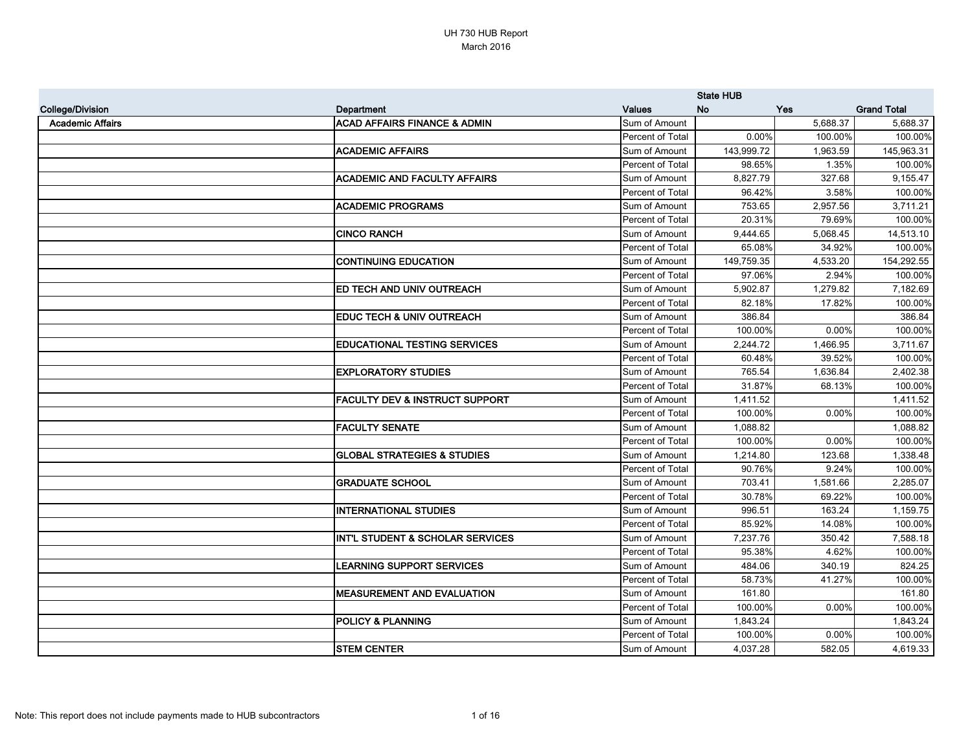|                         |                                             |                  | <b>State HUB</b> |            |                    |
|-------------------------|---------------------------------------------|------------------|------------------|------------|--------------------|
| <b>College/Division</b> | Department                                  | <b>Values</b>    | <b>No</b>        | <b>Yes</b> | <b>Grand Total</b> |
| <b>Academic Affairs</b> | <b>ACAD AFFAIRS FINANCE &amp; ADMIN</b>     | Sum of Amount    |                  | 5,688.37   | 5,688.37           |
|                         |                                             | Percent of Total | 0.00%            | 100.00%    | 100.00%            |
|                         | <b>ACADEMIC AFFAIRS</b>                     | Sum of Amount    | 143,999.72       | 1,963.59   | 145,963.31         |
|                         |                                             | Percent of Total | 98.65%           | 1.35%      | 100.00%            |
|                         | <b>ACADEMIC AND FACULTY AFFAIRS</b>         | Sum of Amount    | 8,827.79         | 327.68     | 9,155.47           |
|                         |                                             | Percent of Total | 96.42%           | 3.58%      | 100.00%            |
|                         | <b>ACADEMIC PROGRAMS</b>                    | Sum of Amount    | 753.65           | 2,957.56   | 3,711.21           |
|                         |                                             | Percent of Total | 20.31%           | 79.69%     | 100.00%            |
|                         | <b>CINCO RANCH</b>                          | Sum of Amount    | 9,444.65         | 5,068.45   | 14,513.10          |
|                         |                                             | Percent of Total | 65.08%           | 34.92%     | 100.00%            |
|                         | <b>CONTINUING EDUCATION</b>                 | Sum of Amount    | 149,759.35       | 4,533.20   | 154,292.55         |
|                         |                                             | Percent of Total | 97.06%           | 2.94%      | 100.00%            |
|                         | ED TECH AND UNIV OUTREACH                   | Sum of Amount    | 5,902.87         | 1,279.82   | 7,182.69           |
|                         |                                             | Percent of Total | 82.18%           | 17.82%     | 100.00%            |
|                         | EDUC TECH & UNIV OUTREACH                   | Sum of Amount    | 386.84           |            | 386.84             |
|                         |                                             | Percent of Total | 100.00%          | 0.00%      | 100.00%            |
|                         | <b>EDUCATIONAL TESTING SERVICES</b>         | Sum of Amount    | 2,244.72         | 1,466.95   | 3,711.67           |
|                         |                                             | Percent of Total | 60.48%           | 39.52%     | 100.00%            |
|                         | <b>EXPLORATORY STUDIES</b>                  | Sum of Amount    | 765.54           | 1,636.84   | 2,402.38           |
|                         |                                             | Percent of Total | 31.87%           | 68.13%     | 100.00%            |
|                         | <b>FACULTY DEV &amp; INSTRUCT SUPPORT</b>   | Sum of Amount    | 1,411.52         |            | 1,411.52           |
|                         |                                             | Percent of Total | 100.00%          | 0.00%      | 100.00%            |
|                         | <b>FACULTY SENATE</b>                       | Sum of Amount    | 1,088.82         |            | 1,088.82           |
|                         |                                             | Percent of Total | 100.00%          | 0.00%      | 100.00%            |
|                         | <b>GLOBAL STRATEGIES &amp; STUDIES</b>      | Sum of Amount    | 1,214.80         | 123.68     | 1,338.48           |
|                         |                                             | Percent of Total | 90.76%           | 9.24%      | 100.00%            |
|                         | <b>GRADUATE SCHOOL</b>                      | Sum of Amount    | 703.41           | 1,581.66   | 2,285.07           |
|                         |                                             | Percent of Total | 30.78%           | 69.22%     | 100.00%            |
|                         | <b>INTERNATIONAL STUDIES</b>                | Sum of Amount    | 996.51           | 163.24     | 1,159.75           |
|                         |                                             | Percent of Total | 85.92%           | 14.08%     | 100.00%            |
|                         | <b>INT'L STUDENT &amp; SCHOLAR SERVICES</b> | Sum of Amount    | 7,237.76         | 350.42     | 7,588.18           |
|                         |                                             | Percent of Total | 95.38%           | 4.62%      | 100.00%            |
|                         | <b>LEARNING SUPPORT SERVICES</b>            | Sum of Amount    | 484.06           | 340.19     | 824.25             |
|                         |                                             | Percent of Total | 58.73%           | 41.27%     | 100.00%            |
|                         | <b>MEASUREMENT AND EVALUATION</b>           | Sum of Amount    | 161.80           |            | 161.80             |
|                         |                                             | Percent of Total | 100.00%          | $0.00\%$   | 100.00%            |
|                         | <b>POLICY &amp; PLANNING</b>                | Sum of Amount    | 1,843.24         |            | 1,843.24           |
|                         |                                             | Percent of Total | 100.00%          | 0.00%      | 100.00%            |
|                         | <b>STEM CENTER</b>                          | Sum of Amount    | 4,037.28         | 582.05     | 4,619.33           |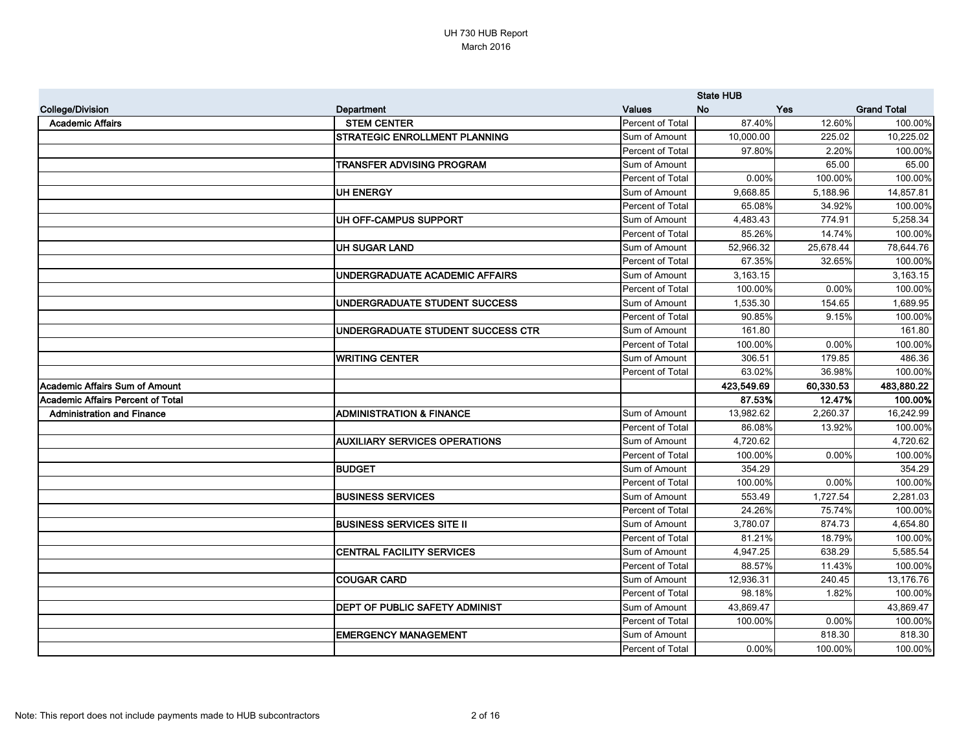|                                          |                                      |                  | <b>State HUB</b> |           |                    |
|------------------------------------------|--------------------------------------|------------------|------------------|-----------|--------------------|
| <b>College/Division</b>                  | Department                           | <b>Values</b>    | <b>No</b>        | Yes       | <b>Grand Total</b> |
| <b>Academic Affairs</b>                  | <b>STEM CENTER</b>                   | Percent of Total | 87.40%           | 12.60%    | 100.00%            |
|                                          | <b>STRATEGIC ENROLLMENT PLANNING</b> | Sum of Amount    | 10,000.00        | 225.02    | 10,225.02          |
|                                          |                                      | Percent of Total | 97.80%           | 2.20%     | 100.00%            |
|                                          | <b>TRANSFER ADVISING PROGRAM</b>     | Sum of Amount    |                  | 65.00     | 65.00              |
|                                          |                                      | Percent of Total | 0.00%            | 100.00%   | 100.00%            |
|                                          | <b>UH ENERGY</b>                     | Sum of Amount    | 9,668.85         | 5,188.96  | 14,857.81          |
|                                          |                                      | Percent of Total | 65.08%           | 34.92%    | 100.00%            |
|                                          | UH OFF-CAMPUS SUPPORT                | Sum of Amount    | 4,483.43         | 774.91    | 5,258.34           |
|                                          |                                      | Percent of Total | 85.26%           | 14.74%    | 100.00%            |
|                                          | <b>UH SUGAR LAND</b>                 | Sum of Amount    | 52,966.32        | 25,678.44 | 78,644.76          |
|                                          |                                      | Percent of Total | 67.35%           | 32.65%    | 100.00%            |
|                                          | UNDERGRADUATE ACADEMIC AFFAIRS       | Sum of Amount    | 3,163.15         |           | 3,163.15           |
|                                          |                                      | Percent of Total | 100.00%          | 0.00%     | 100.00%            |
|                                          | UNDERGRADUATE STUDENT SUCCESS        | Sum of Amount    | 1,535.30         | 154.65    | 1,689.95           |
|                                          |                                      | Percent of Total | 90.85%           | 9.15%     | 100.00%            |
|                                          | UNDERGRADUATE STUDENT SUCCESS CTR    | Sum of Amount    | 161.80           |           | 161.80             |
|                                          |                                      | Percent of Total | 100.00%          | 0.00%     | 100.00%            |
|                                          | <b>WRITING CENTER</b>                | Sum of Amount    | 306.51           | 179.85    | 486.36             |
|                                          |                                      | Percent of Total | 63.02%           | 36.98%    | 100.00%            |
| Academic Affairs Sum of Amount           |                                      |                  | 423,549.69       | 60,330.53 | 483,880.22         |
| <b>Academic Affairs Percent of Total</b> |                                      |                  | 87.53%           | 12.47%    | 100.00%            |
| <b>Administration and Finance</b>        | <b>ADMINISTRATION &amp; FINANCE</b>  | Sum of Amount    | 13,982.62        | 2,260.37  | 16,242.99          |
|                                          |                                      | Percent of Total | 86.08%           | 13.92%    | 100.00%            |
|                                          | <b>AUXILIARY SERVICES OPERATIONS</b> | Sum of Amount    | 4,720.62         |           | 4,720.62           |
|                                          |                                      | Percent of Total | 100.00%          | 0.00%     | 100.00%            |
|                                          | <b>BUDGET</b>                        | Sum of Amount    | 354.29           |           | 354.29             |
|                                          |                                      | Percent of Total | 100.00%          | 0.00%     | 100.00%            |
|                                          | <b>BUSINESS SERVICES</b>             | Sum of Amount    | 553.49           | 1,727.54  | 2,281.03           |
|                                          |                                      | Percent of Total | 24.26%           | 75.74%    | 100.00%            |
|                                          | <b>BUSINESS SERVICES SITE II</b>     | Sum of Amount    | 3,780.07         | 874.73    | 4,654.80           |
|                                          |                                      | Percent of Total | 81.21%           | 18.79%    | 100.00%            |
|                                          | <b>CENTRAL FACILITY SERVICES</b>     | Sum of Amount    | 4,947.25         | 638.29    | 5,585.54           |
|                                          |                                      | Percent of Total | 88.57%           | 11.43%    | 100.00%            |
|                                          | <b>COUGAR CARD</b>                   | Sum of Amount    | 12,936.31        | 240.45    | 13,176.76          |
|                                          |                                      | Percent of Total | 98.18%           | 1.82%     | 100.00%            |
|                                          | DEPT OF PUBLIC SAFETY ADMINIST       | Sum of Amount    | 43,869.47        |           | 43,869.47          |
|                                          |                                      | Percent of Total | 100.00%          | 0.00%     | 100.00%            |
|                                          | <b>EMERGENCY MANAGEMENT</b>          | Sum of Amount    |                  | 818.30    | 818.30             |
|                                          |                                      | Percent of Total | 0.00%            | 100.00%   | 100.00%            |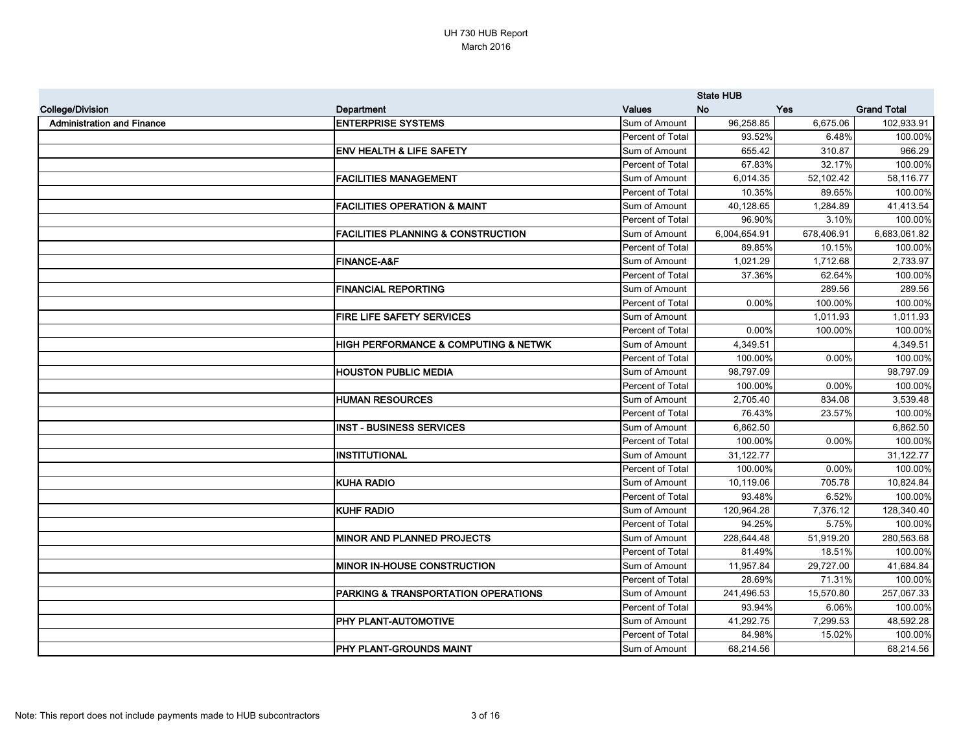|                                   |                                                     |                         | <b>State HUB</b> |            |                    |
|-----------------------------------|-----------------------------------------------------|-------------------------|------------------|------------|--------------------|
| <b>College/Division</b>           | Department                                          | <b>Values</b>           | <b>No</b>        | Yes        | <b>Grand Total</b> |
| <b>Administration and Finance</b> | <b>ENTERPRISE SYSTEMS</b>                           | Sum of Amount           | 96,258.85        | 6,675.06   | 102,933.91         |
|                                   |                                                     | Percent of Total        | 93.52%           | 6.48%      | 100.00%            |
|                                   | <b>ENV HEALTH &amp; LIFE SAFETY</b>                 | Sum of Amount           | 655.42           | 310.87     | 966.29             |
|                                   |                                                     | <b>Percent of Total</b> | 67.83%           | 32.17%     | 100.00%            |
|                                   | <b>FACILITIES MANAGEMENT</b>                        | Sum of Amount           | 6,014.35         | 52,102.42  | 58,116.77          |
|                                   |                                                     | Percent of Total        | 10.35%           | 89.65%     | 100.00%            |
|                                   | <b>FACILITIES OPERATION &amp; MAINT</b>             | Sum of Amount           | 40,128.65        | 1,284.89   | 41,413.54          |
|                                   |                                                     | Percent of Total        | 96.90%           | 3.10%      | 100.00%            |
|                                   | <b>FACILITIES PLANNING &amp; CONSTRUCTION</b>       | Sum of Amount           | 6,004,654.91     | 678,406.91 | 6,683,061.82       |
|                                   |                                                     | Percent of Total        | 89.85%           | 10.15%     | 100.00%            |
|                                   | <b>FINANCE-A&amp;F</b>                              | Sum of Amount           | 1,021.29         | 1,712.68   | 2,733.97           |
|                                   |                                                     | Percent of Total        | 37.36%           | 62.64%     | 100.00%            |
|                                   | <b>FINANCIAL REPORTING</b>                          | Sum of Amount           |                  | 289.56     | 289.56             |
|                                   |                                                     | Percent of Total        | 0.00%            | 100.00%    | 100.00%            |
|                                   | FIRE LIFE SAFETY SERVICES                           | Sum of Amount           |                  | 1,011.93   | 1,011.93           |
|                                   |                                                     | Percent of Total        | 0.00%            | 100.00%    | 100.00%            |
|                                   | <b>HIGH PERFORMANCE &amp; COMPUTING &amp; NETWK</b> | Sum of Amount           | 4,349.51         |            | 4,349.51           |
|                                   |                                                     | Percent of Total        | 100.00%          | 0.00%      | 100.00%            |
|                                   | <b>HOUSTON PUBLIC MEDIA</b>                         | Sum of Amount           | 98,797.09        |            | 98,797.09          |
|                                   |                                                     | Percent of Total        | 100.00%          | 0.00%      | 100.00%            |
|                                   | <b>HUMAN RESOURCES</b>                              | Sum of Amount           | 2,705.40         | 834.08     | 3,539.48           |
|                                   |                                                     | Percent of Total        | 76.43%           | 23.57%     | 100.00%            |
|                                   | <b>INST - BUSINESS SERVICES</b>                     | Sum of Amount           | 6,862.50         |            | 6,862.50           |
|                                   |                                                     | Percent of Total        | 100.00%          | 0.00%      | 100.00%            |
|                                   | <b>INSTITUTIONAL</b>                                | Sum of Amount           | 31,122.77        |            | 31,122.77          |
|                                   |                                                     | Percent of Total        | 100.00%          | 0.00%      | 100.00%            |
|                                   | <b>KUHA RADIO</b>                                   | Sum of Amount           | 10,119.06        | 705.78     | 10,824.84          |
|                                   |                                                     | Percent of Total        | 93.48%           | 6.52%      | 100.00%            |
|                                   | <b>KUHF RADIO</b>                                   | Sum of Amount           | 120,964.28       | 7,376.12   | 128,340.40         |
|                                   |                                                     | Percent of Total        | 94.25%           | 5.75%      | 100.00%            |
|                                   | <b>MINOR AND PLANNED PROJECTS</b>                   | Sum of Amount           | 228,644.48       | 51,919.20  | 280,563.68         |
|                                   |                                                     | Percent of Total        | 81.49%           | 18.51%     | 100.00%            |
|                                   | <b>MINOR IN-HOUSE CONSTRUCTION</b>                  | Sum of Amount           | 11,957.84        | 29,727.00  | 41,684.84          |
|                                   |                                                     | Percent of Total        | 28.69%           | 71.31%     | 100.00%            |
|                                   | <b>PARKING &amp; TRANSPORTATION OPERATIONS</b>      | Sum of Amount           | 241,496.53       | 15,570.80  | 257,067.33         |
|                                   |                                                     | Percent of Total        | 93.94%           | 6.06%      | 100.00%            |
|                                   | PHY PLANT-AUTOMOTIVE                                | Sum of Amount           | 41,292.75        | 7,299.53   | 48,592.28          |
|                                   |                                                     | Percent of Total        | 84.98%           | 15.02%     | 100.00%            |
|                                   | <b>PHY PLANT-GROUNDS MAINT</b>                      | Sum of Amount           | 68,214.56        |            | 68,214.56          |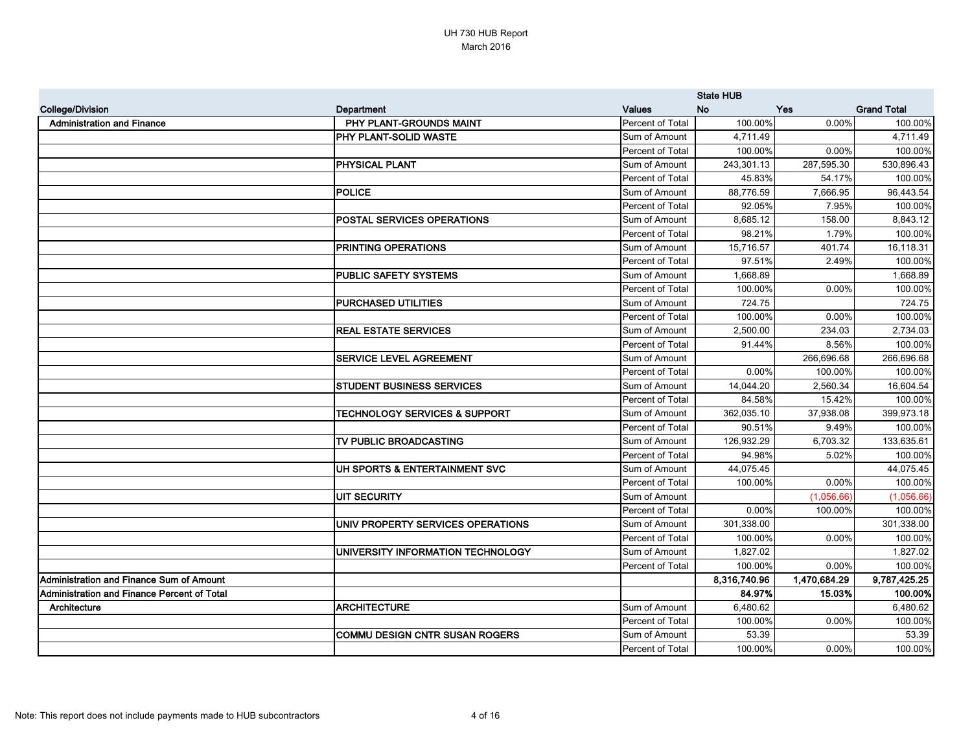|                                             |                                          |                  | <b>State HUB</b> |              |                    |
|---------------------------------------------|------------------------------------------|------------------|------------------|--------------|--------------------|
| <b>College/Division</b>                     | Department                               | <b>Values</b>    | <b>No</b>        | Yes          | <b>Grand Total</b> |
| <b>Administration and Finance</b>           | PHY PLANT-GROUNDS MAINT                  | Percent of Total | 100.00%          | $0.00\%$     | 100.00%            |
|                                             | PHY PLANT-SOLID WASTE                    | Sum of Amount    | 4,711.49         |              | 4,711.49           |
|                                             |                                          | Percent of Total | 100.00%          | $0.00\%$     | 100.00%            |
|                                             | <b>PHYSICAL PLANT</b>                    | Sum of Amount    | 243,301.13       | 287,595.30   | 530,896.43         |
|                                             |                                          | Percent of Total | 45.83%           | 54.17%       | 100.00%            |
|                                             | <b>POLICE</b>                            | Sum of Amount    | 88,776.59        | 7,666.95     | 96,443.54          |
|                                             |                                          | Percent of Total | 92.05%           | 7.95%        | 100.00%            |
|                                             | <b>POSTAL SERVICES OPERATIONS</b>        | Sum of Amount    | 8,685.12         | 158.00       | 8,843.12           |
|                                             |                                          | Percent of Total | 98.21%           | 1.79%        | 100.00%            |
|                                             | PRINTING OPERATIONS                      | Sum of Amount    | 15,716.57        | 401.74       | 16,118.31          |
|                                             |                                          | Percent of Total | 97.51%           | 2.49%        | 100.00%            |
|                                             | PUBLIC SAFETY SYSTEMS                    | Sum of Amount    | 1,668.89         |              | 1,668.89           |
|                                             |                                          | Percent of Total | 100.00%          | 0.00%        | 100.00%            |
|                                             | <b>PURCHASED UTILITIES</b>               | Sum of Amount    | 724.75           |              | 724.75             |
|                                             |                                          | Percent of Total | 100.00%          | 0.00%        | 100.00%            |
|                                             | <b>REAL ESTATE SERVICES</b>              | Sum of Amount    | 2,500.00         | 234.03       | 2,734.03           |
|                                             |                                          | Percent of Total | 91.44%           | 8.56%        | 100.00%            |
|                                             | <b>SERVICE LEVEL AGREEMENT</b>           | Sum of Amount    |                  | 266,696.68   | 266,696.68         |
|                                             |                                          | Percent of Total | 0.00%            | 100.00%      | 100.00%            |
|                                             | <b>STUDENT BUSINESS SERVICES</b>         | Sum of Amount    | 14,044.20        | 2,560.34     | 16,604.54          |
|                                             |                                          | Percent of Total | 84.58%           | 15.42%       | 100.00%            |
|                                             | <b>TECHNOLOGY SERVICES &amp; SUPPORT</b> | Sum of Amount    | 362,035.10       | 37,938.08    | 399,973.18         |
|                                             |                                          | Percent of Total | 90.51%           | 9.49%        | 100.00%            |
|                                             | TV PUBLIC BROADCASTING                   | Sum of Amount    | 126,932.29       | 6,703.32     | 133,635.61         |
|                                             |                                          | Percent of Total | 94.98%           | 5.02%        | 100.00%            |
|                                             | UH SPORTS & ENTERTAINMENT SVC            | Sum of Amount    | 44,075.45        |              | 44,075.45          |
|                                             |                                          | Percent of Total | 100.00%          | 0.00%        | 100.00%            |
|                                             | <b>UIT SECURITY</b>                      | Sum of Amount    |                  | (1,056.66)   | (1,056.66)         |
|                                             |                                          | Percent of Total | 0.00%            | 100.00%      | 100.00%            |
|                                             | UNIV PROPERTY SERVICES OPERATIONS        | Sum of Amount    | 301,338.00       |              | 301,338.00         |
|                                             |                                          | Percent of Total | 100.00%          | $0.00\%$     | 100.00%            |
|                                             | UNIVERSITY INFORMATION TECHNOLOGY        | Sum of Amount    | 1,827.02         |              | 1,827.02           |
|                                             |                                          | Percent of Total | 100.00%          | $0.00\%$     | 100.00%            |
| Administration and Finance Sum of Amount    |                                          |                  | 8,316,740.96     | 1,470,684.29 | 9,787,425.25       |
| Administration and Finance Percent of Total |                                          |                  | 84.97%           | 15.03%       | 100.00%            |
| Architecture                                | <b>ARCHITECTURE</b>                      | Sum of Amount    | 6,480.62         |              | 6,480.62           |
|                                             |                                          | Percent of Total | 100.00%          | $0.00\%$     | 100.00%            |
|                                             | <b>COMMU DESIGN CNTR SUSAN ROGERS</b>    | Sum of Amount    | 53.39            |              | 53.39              |
|                                             |                                          | Percent of Total | 100.00%          | $0.00\%$     | 100.00%            |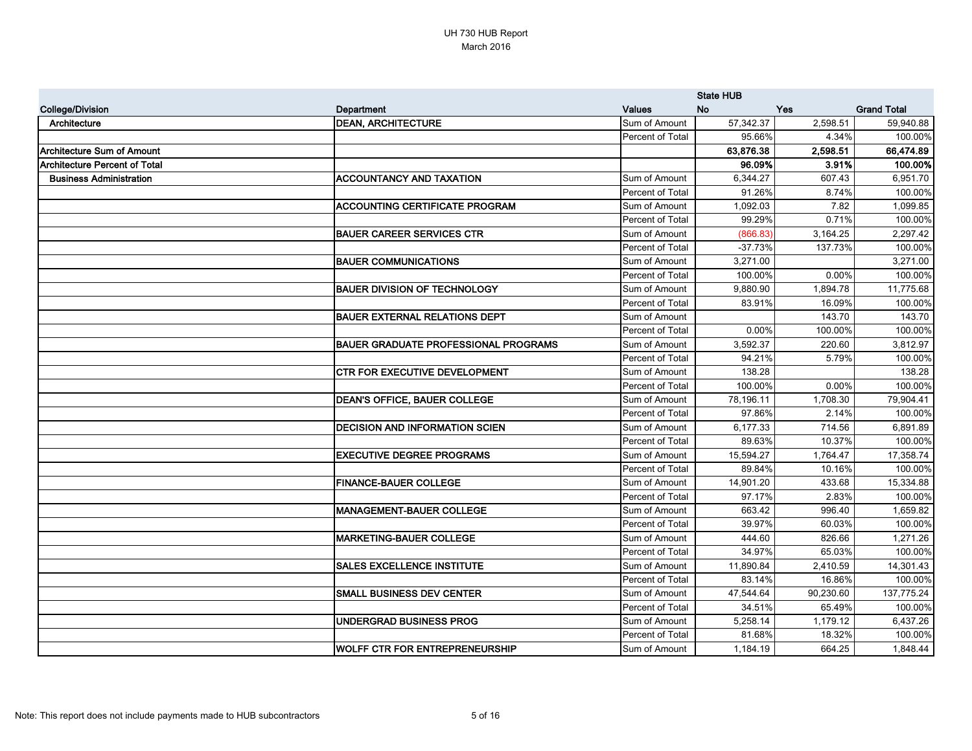|                                |                                             |                  | <b>State HUB</b> |           |                    |
|--------------------------------|---------------------------------------------|------------------|------------------|-----------|--------------------|
| <b>College/Division</b>        | Department                                  | <b>Values</b>    | No               | Yes       | <b>Grand Total</b> |
| Architecture                   | <b>DEAN, ARCHITECTURE</b>                   | Sum of Amount    | 57,342.37        | 2,598.51  | 59,940.88          |
|                                |                                             | Percent of Total | 95.66%           | 4.34%     | 100.00%            |
| Architecture Sum of Amount     |                                             |                  | 63,876.38        | 2,598.51  | 66,474.89          |
| Architecture Percent of Total  |                                             |                  | 96.09%           | 3.91%     | 100.00%            |
| <b>Business Administration</b> | <b>ACCOUNTANCY AND TAXATION</b>             | Sum of Amount    | 6,344.27         | 607.43    | 6,951.70           |
|                                |                                             | Percent of Total | 91.26%           | 8.74%     | 100.00%            |
|                                | <b>ACCOUNTING CERTIFICATE PROGRAM</b>       | Sum of Amount    | 1,092.03         | 7.82      | 1,099.85           |
|                                |                                             | Percent of Total | 99.29%           | 0.71%     | 100.00%            |
|                                | <b>BAUER CAREER SERVICES CTR</b>            | Sum of Amount    | (866.83)         | 3,164.25  | 2,297.42           |
|                                |                                             | Percent of Total | $-37.73%$        | 137.73%   | 100.00%            |
|                                | <b>BAUER COMMUNICATIONS</b>                 | Sum of Amount    | 3,271.00         |           | 3,271.00           |
|                                |                                             | Percent of Total | 100.00%          | 0.00%     | 100.00%            |
|                                | <b>BAUER DIVISION OF TECHNOLOGY</b>         | Sum of Amount    | 9,880.90         | 1,894.78  | 11,775.68          |
|                                |                                             | Percent of Total | 83.91%           | 16.09%    | 100.00%            |
|                                | <b>BAUER EXTERNAL RELATIONS DEPT</b>        | Sum of Amount    |                  | 143.70    | 143.70             |
|                                |                                             | Percent of Total | 0.00%            | 100.00%   | 100.00%            |
|                                | <b>BAUER GRADUATE PROFESSIONAL PROGRAMS</b> | Sum of Amount    | 3,592.37         | 220.60    | 3,812.97           |
|                                |                                             | Percent of Total | 94.21%           | 5.79%     | 100.00%            |
|                                | <b>CTR FOR EXECUTIVE DEVELOPMENT</b>        | Sum of Amount    | 138.28           |           | 138.28             |
|                                |                                             | Percent of Total | 100.00%          | 0.00%     | 100.00%            |
|                                | <b>DEAN'S OFFICE, BAUER COLLEGE</b>         | Sum of Amount    | 78,196.11        | 1,708.30  | 79,904.41          |
|                                |                                             | Percent of Total | 97.86%           | 2.14%     | 100.00%            |
|                                | <b>DECISION AND INFORMATION SCIEN</b>       | Sum of Amount    | 6,177.33         | 714.56    | 6,891.89           |
|                                |                                             | Percent of Total | 89.63%           | 10.37%    | 100.00%            |
|                                | <b>EXECUTIVE DEGREE PROGRAMS</b>            | Sum of Amount    | 15,594.27        | 1,764.47  | 17,358.74          |
|                                |                                             | Percent of Total | 89.84%           | 10.16%    | 100.00%            |
|                                | <b>FINANCE-BAUER COLLEGE</b>                | Sum of Amount    | 14,901.20        | 433.68    | 15,334.88          |
|                                |                                             | Percent of Total | 97.17%           | 2.83%     | 100.00%            |
|                                | <b>IMANAGEMENT-BAUER COLLEGE</b>            | Sum of Amount    | 663.42           | 996.40    | 1,659.82           |
|                                |                                             | Percent of Total | 39.97%           | 60.03%    | 100.00%            |
|                                | <b>MARKETING-BAUER COLLEGE</b>              | Sum of Amount    | 444.60           | 826.66    | 1,271.26           |
|                                |                                             | Percent of Total | 34.97%           | 65.03%    | 100.00%            |
|                                | <b>SALES EXCELLENCE INSTITUTE</b>           | Sum of Amount    | 11,890.84        | 2,410.59  | 14,301.43          |
|                                |                                             | Percent of Total | 83.14%           | 16.86%    | 100.00%            |
|                                | <b>SMALL BUSINESS DEV CENTER</b>            | Sum of Amount    | 47,544.64        | 90,230.60 | 137,775.24         |
|                                |                                             | Percent of Total | 34.51%           | 65.49%    | 100.00%            |
|                                | <b>UNDERGRAD BUSINESS PROG</b>              | Sum of Amount    | 5,258.14         | 1,179.12  | 6,437.26           |
|                                |                                             | Percent of Total | 81.68%           | 18.32%    | 100.00%            |
|                                | WOLFF CTR FOR ENTREPRENEURSHIP              | Sum of Amount    | 1,184.19         | 664.25    | 1,848.44           |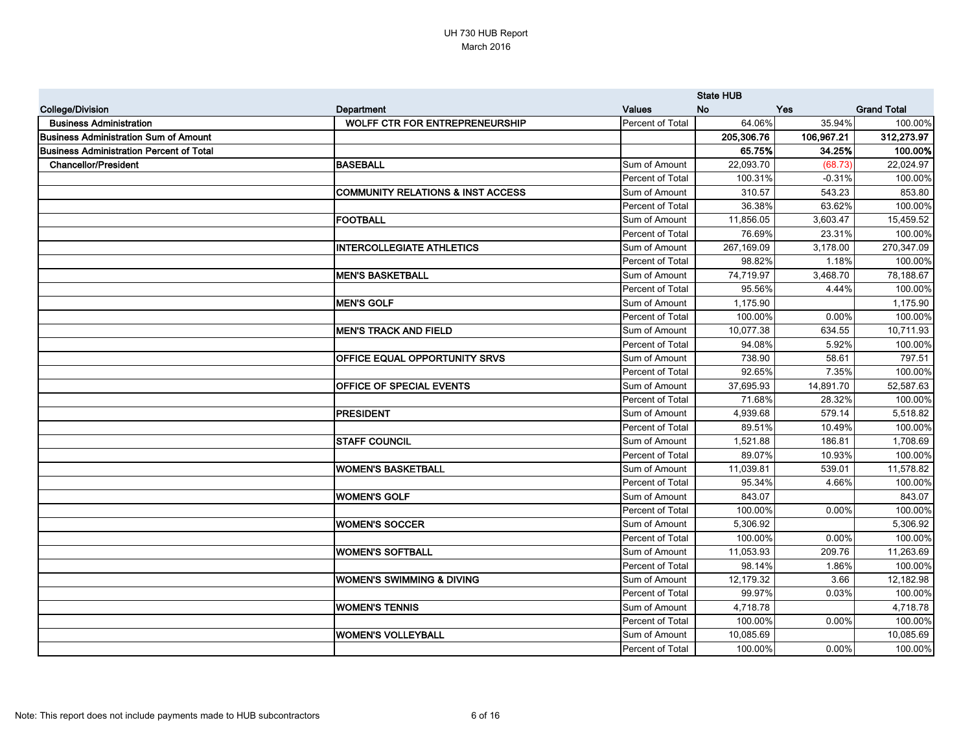|                                              |                                              |                  | <b>State HUB</b> |            |                    |
|----------------------------------------------|----------------------------------------------|------------------|------------------|------------|--------------------|
| <b>College/Division</b>                      | Department                                   | <b>Values</b>    | <b>No</b>        | Yes        | <b>Grand Total</b> |
| <b>Business Administration</b>               | <b>WOLFF CTR FOR ENTREPRENEURSHIP</b>        | Percent of Total | 64.06%           | 35.94%     | 100.00%            |
| <b>Business Administration Sum of Amount</b> |                                              |                  | 205,306.76       | 106,967.21 | 312,273.97         |
| Business Administration Percent of Total     |                                              |                  | 65.75%           | 34.25%     | 100.00%            |
| <b>Chancellor/President</b>                  | <b>BASEBALL</b>                              | Sum of Amount    | 22,093.70        | (68.73)    | 22,024.97          |
|                                              |                                              | Percent of Total | 100.31%          | $-0.31%$   | 100.00%            |
|                                              | <b>COMMUNITY RELATIONS &amp; INST ACCESS</b> | Sum of Amount    | 310.57           | 543.23     | 853.80             |
|                                              |                                              | Percent of Total | 36.38%           | 63.62%     | 100.00%            |
|                                              | FOOTBALL                                     | Sum of Amount    | 11,856.05        | 3,603.47   | 15,459.52          |
|                                              |                                              | Percent of Total | 76.69%           | 23.31%     | 100.00%            |
|                                              | <b>INTERCOLLEGIATE ATHLETICS</b>             | Sum of Amount    | 267,169.09       | 3,178.00   | 270,347.09         |
|                                              |                                              | Percent of Total | 98.82%           | 1.18%      | 100.00%            |
|                                              | <b>MEN'S BASKETBALL</b>                      | Sum of Amount    | 74,719.97        | 3,468.70   | 78,188.67          |
|                                              |                                              | Percent of Total | 95.56%           | 4.44%      | 100.00%            |
|                                              | <b>MEN'S GOLF</b>                            | Sum of Amount    | 1,175.90         |            | 1,175.90           |
|                                              |                                              | Percent of Total | 100.00%          | 0.00%      | 100.00%            |
|                                              | <b>MEN'S TRACK AND FIELD</b>                 | Sum of Amount    | 10,077.38        | 634.55     | 10,711.93          |
|                                              |                                              | Percent of Total | 94.08%           | 5.92%      | 100.00%            |
|                                              | OFFICE EQUAL OPPORTUNITY SRVS                | Sum of Amount    | 738.90           | 58.61      | 797.51             |
|                                              |                                              | Percent of Total | 92.65%           | 7.35%      | 100.00%            |
|                                              | OFFICE OF SPECIAL EVENTS                     | Sum of Amount    | 37,695.93        | 14,891.70  | 52,587.63          |
|                                              |                                              | Percent of Total | 71.68%           | 28.32%     | 100.00%            |
|                                              | <b>PRESIDENT</b>                             | Sum of Amount    | 4,939.68         | 579.14     | 5,518.82           |
|                                              |                                              | Percent of Total | 89.51%           | 10.49%     | 100.00%            |
|                                              | <b>STAFF COUNCIL</b>                         | Sum of Amount    | 1,521.88         | 186.81     | 1,708.69           |
|                                              |                                              | Percent of Total | 89.07%           | 10.93%     | 100.00%            |
|                                              | <b>WOMEN'S BASKETBALL</b>                    | Sum of Amount    | 11,039.81        | 539.01     | 11,578.82          |
|                                              |                                              | Percent of Total | 95.34%           | 4.66%      | 100.00%            |
|                                              | <b>WOMEN'S GOLF</b>                          | Sum of Amount    | 843.07           |            | 843.07             |
|                                              |                                              | Percent of Total | 100.00%          | $0.00\%$   | 100.00%            |
|                                              | <b>WOMEN'S SOCCER</b>                        | Sum of Amount    | 5,306.92         |            | 5,306.92           |
|                                              |                                              | Percent of Total | 100.00%          | 0.00%      | 100.00%            |
|                                              | <b>WOMEN'S SOFTBALL</b>                      | Sum of Amount    | 11,053.93        | 209.76     | 11,263.69          |
|                                              |                                              | Percent of Total | 98.14%           | 1.86%      | 100.00%            |
|                                              | <b>WOMEN'S SWIMMING &amp; DIVING</b>         | Sum of Amount    | 12,179.32        | 3.66       | 12,182.98          |
|                                              |                                              | Percent of Total | 99.97%           | 0.03%      | 100.00%            |
|                                              | <b>WOMEN'S TENNIS</b>                        | Sum of Amount    | 4,718.78         |            | 4,718.78           |
|                                              |                                              | Percent of Total | 100.00%          | 0.00%      | 100.00%            |
|                                              | <b>WOMEN'S VOLLEYBALL</b>                    | Sum of Amount    | 10,085.69        |            | 10,085.69          |
|                                              |                                              | Percent of Total | 100.00%          | $0.00\%$   | 100.00%            |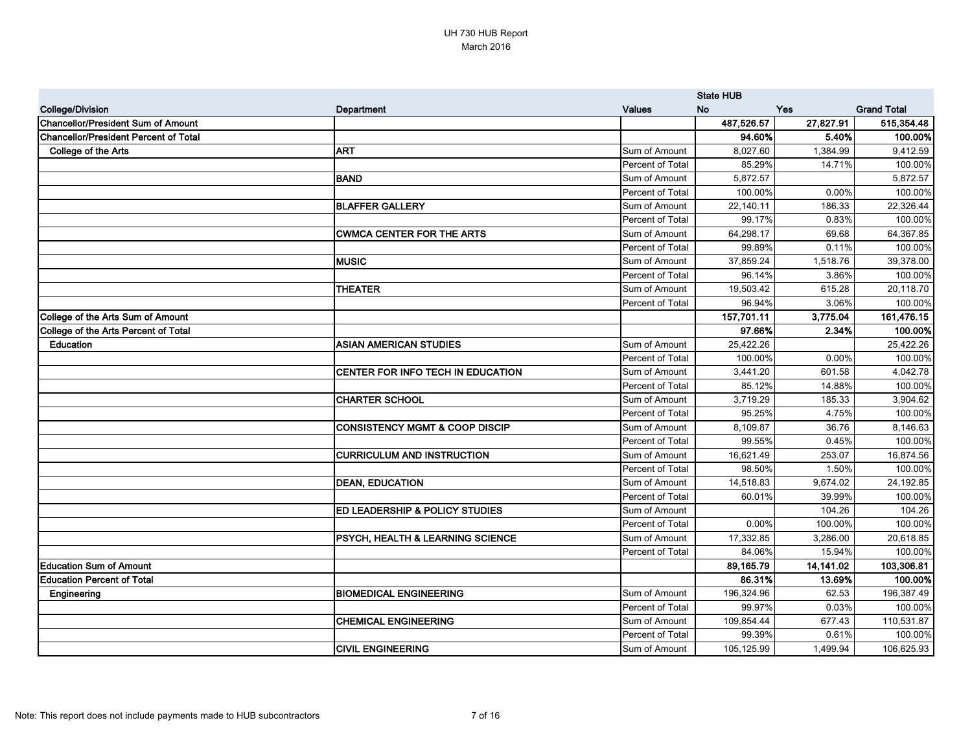|                                              |                                           |                  | <b>State HUB</b> |            |                    |
|----------------------------------------------|-------------------------------------------|------------------|------------------|------------|--------------------|
| <b>College/Division</b>                      | <b>Department</b>                         | <b>Values</b>    | <b>No</b>        | <b>Yes</b> | <b>Grand Total</b> |
| <b>Chancellor/President Sum of Amount</b>    |                                           |                  | 487,526.57       | 27,827.91  | 515,354.48         |
| <b>Chancellor/President Percent of Total</b> |                                           |                  | 94.60%           | 5.40%      | 100.00%            |
| College of the Arts                          | <b>ART</b>                                | Sum of Amount    | 8,027.60         | 1,384.99   | 9,412.59           |
|                                              |                                           | Percent of Total | 85.29%           | 14.71%     | 100.00%            |
|                                              | <b>BAND</b>                               | Sum of Amount    | 5,872.57         |            | 5,872.57           |
|                                              |                                           | Percent of Total | 100.00%          | 0.00%      | 100.00%            |
|                                              | <b>BLAFFER GALLERY</b>                    | Sum of Amount    | 22,140.11        | 186.33     | 22,326.44          |
|                                              |                                           | Percent of Total | 99.17%           | 0.83%      | 100.00%            |
|                                              | <b>CWMCA CENTER FOR THE ARTS</b>          | Sum of Amount    | 64,298.17        | 69.68      | 64,367.85          |
|                                              |                                           | Percent of Total | 99.89%           | 0.11%      | 100.00%            |
|                                              | <b>MUSIC</b>                              | Sum of Amount    | 37,859.24        | 1,518.76   | 39,378.00          |
|                                              |                                           | Percent of Total | 96.14%           | 3.86%      | 100.00%            |
|                                              | <b>THEATER</b>                            | Sum of Amount    | 19,503.42        | 615.28     | 20,118.70          |
|                                              |                                           | Percent of Total | 96.94%           | 3.06%      | 100.00%            |
| College of the Arts Sum of Amount            |                                           |                  | 157,701.11       | 3,775.04   | 161,476.15         |
| College of the Arts Percent of Total         |                                           |                  | 97.66%           | 2.34%      | 100.00%            |
| Education                                    | <b>ASIAN AMERICAN STUDIES</b>             | Sum of Amount    | 25,422.26        |            | 25,422.26          |
|                                              |                                           | Percent of Total | 100.00%          | 0.00%      | 100.00%            |
|                                              | CENTER FOR INFO TECH IN EDUCATION         | Sum of Amount    | 3,441.20         | 601.58     | 4,042.78           |
|                                              |                                           | Percent of Total | 85.12%           | 14.88%     | 100.00%            |
|                                              | <b>CHARTER SCHOOL</b>                     | Sum of Amount    | 3,719.29         | 185.33     | 3,904.62           |
|                                              |                                           | Percent of Total | 95.25%           | 4.75%      | 100.00%            |
|                                              | <b>CONSISTENCY MGMT &amp; COOP DISCIP</b> | Sum of Amount    | 8,109.87         | 36.76      | 8,146.63           |
|                                              |                                           | Percent of Total | 99.55%           | 0.45%      | 100.00%            |
|                                              | <b>CURRICULUM AND INSTRUCTION</b>         | Sum of Amount    | 16,621.49        | 253.07     | 16,874.56          |
|                                              |                                           | Percent of Total | 98.50%           | 1.50%      | 100.00%            |
|                                              | <b>DEAN, EDUCATION</b>                    | Sum of Amount    | 14,518.83        | 9,674.02   | 24,192.85          |
|                                              |                                           | Percent of Total | 60.01%           | 39.99%     | 100.00%            |
|                                              | ED LEADERSHIP & POLICY STUDIES            | Sum of Amount    |                  | 104.26     | 104.26             |
|                                              |                                           | Percent of Total | 0.00%            | 100.00%    | 100.00%            |
|                                              | PSYCH, HEALTH & LEARNING SCIENCE          | Sum of Amount    | 17,332.85        | 3,286.00   | 20,618.85          |
|                                              |                                           | Percent of Total | 84.06%           | 15.94%     | 100.00%            |
| <b>Education Sum of Amount</b>               |                                           |                  | 89,165.79        | 14,141.02  | 103,306.81         |
| <b>Education Percent of Total</b>            |                                           |                  | 86.31%           | 13.69%     | 100.00%            |
| Engineering                                  | <b>BIOMEDICAL ENGINEERING</b>             | Sum of Amount    | 196,324.96       | 62.53      | 196,387.49         |
|                                              |                                           | Percent of Total | 99.97%           | 0.03%      | 100.00%            |
|                                              | <b>CHEMICAL ENGINEERING</b>               | Sum of Amount    | 109,854.44       | 677.43     | 110,531.87         |
|                                              |                                           | Percent of Total | 99.39%           | 0.61%      | 100.00%            |
|                                              | <b>CIVIL ENGINEERING</b>                  | Sum of Amount    | 105,125.99       | 1,499.94   | 106,625.93         |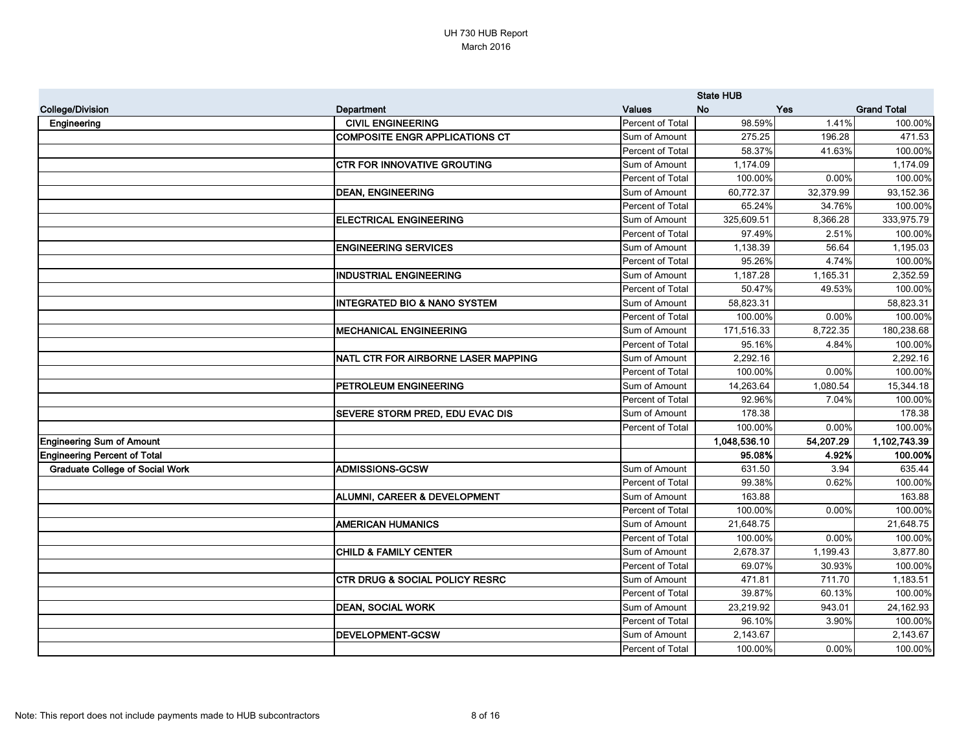|                                        |                                           |                  | <b>State HUB</b> |           |                    |
|----------------------------------------|-------------------------------------------|------------------|------------------|-----------|--------------------|
| <b>College/Division</b>                | Department                                | <b>Values</b>    | <b>No</b>        | Yes       | <b>Grand Total</b> |
| Engineering                            | <b>CIVIL ENGINEERING</b>                  | Percent of Total | 98.59%           | 1.41%     | 100.00%            |
|                                        | <b>COMPOSITE ENGR APPLICATIONS CT</b>     | Sum of Amount    | 275.25           | 196.28    | 471.53             |
|                                        |                                           | Percent of Total | 58.37%           | 41.63%    | 100.00%            |
|                                        | <b>CTR FOR INNOVATIVE GROUTING</b>        | Sum of Amount    | 1,174.09         |           | 1,174.09           |
|                                        |                                           | Percent of Total | 100.00%          | 0.00%     | 100.00%            |
|                                        | <b>DEAN, ENGINEERING</b>                  | Sum of Amount    | 60,772.37        | 32,379.99 | 93,152.36          |
|                                        |                                           | Percent of Total | 65.24%           | 34.76%    | 100.00%            |
|                                        | <b>ELECTRICAL ENGINEERING</b>             | Sum of Amount    | 325,609.51       | 8,366.28  | 333,975.79         |
|                                        |                                           | Percent of Total | 97.49%           | 2.51%     | 100.00%            |
|                                        | <b>ENGINEERING SERVICES</b>               | Sum of Amount    | 1,138.39         | 56.64     | 1,195.03           |
|                                        |                                           | Percent of Total | 95.26%           | 4.74%     | 100.00%            |
|                                        | <b>INDUSTRIAL ENGINEERING</b>             | Sum of Amount    | 1,187.28         | 1,165.31  | 2,352.59           |
|                                        |                                           | Percent of Total | 50.47%           | 49.53%    | 100.00%            |
|                                        | <b>INTEGRATED BIO &amp; NANO SYSTEM</b>   | Sum of Amount    | 58,823.31        |           | 58,823.31          |
|                                        |                                           | Percent of Total | 100.00%          | 0.00%     | 100.00%            |
|                                        | <b>MECHANICAL ENGINEERING</b>             | Sum of Amount    | 171,516.33       | 8,722.35  | 180,238.68         |
|                                        |                                           | Percent of Total | 95.16%           | 4.84%     | 100.00%            |
|                                        | NATL CTR FOR AIRBORNE LASER MAPPING       | Sum of Amount    | 2,292.16         |           | 2,292.16           |
|                                        |                                           | Percent of Total | 100.00%          | 0.00%     | 100.00%            |
|                                        | PETROLEUM ENGINEERING                     | Sum of Amount    | 14,263.64        | 1,080.54  | 15,344.18          |
|                                        |                                           | Percent of Total | 92.96%           | 7.04%     | 100.00%            |
|                                        | SEVERE STORM PRED, EDU EVAC DIS           | Sum of Amount    | 178.38           |           | 178.38             |
|                                        |                                           | Percent of Total | 100.00%          | 0.00%     | 100.00%            |
| <b>Engineering Sum of Amount</b>       |                                           |                  | 1,048,536.10     | 54,207.29 | 1,102,743.39       |
| <b>Engineering Percent of Total</b>    |                                           |                  | 95.08%           | 4.92%     | 100.00%            |
| <b>Graduate College of Social Work</b> | <b>ADMISSIONS-GCSW</b>                    | Sum of Amount    | 631.50           | 3.94      | 635.44             |
|                                        |                                           | Percent of Total | 99.38%           | 0.62%     | 100.00%            |
|                                        | ALUMNI, CAREER & DEVELOPMENT              | Sum of Amount    | 163.88           |           | 163.88             |
|                                        |                                           | Percent of Total | 100.00%          | $0.00\%$  | 100.00%            |
|                                        | <b>AMERICAN HUMANICS</b>                  | Sum of Amount    | 21,648.75        |           | 21,648.75          |
|                                        |                                           | Percent of Total | 100.00%          | 0.00%     | 100.00%            |
|                                        | <b>CHILD &amp; FAMILY CENTER</b>          | Sum of Amount    | 2,678.37         | 1,199.43  | 3,877.80           |
|                                        |                                           | Percent of Total | 69.07%           | 30.93%    | 100.00%            |
|                                        | <b>CTR DRUG &amp; SOCIAL POLICY RESRC</b> | Sum of Amount    | 471.81           | 711.70    | 1,183.51           |
|                                        |                                           | Percent of Total | 39.87%           | 60.13%    | 100.00%            |
|                                        | <b>DEAN, SOCIAL WORK</b>                  | Sum of Amount    | 23,219.92        | 943.01    | 24,162.93          |
|                                        |                                           | Percent of Total | 96.10%           | 3.90%     | 100.00%            |
|                                        | <b>DEVELOPMENT-GCSW</b>                   | Sum of Amount    | 2,143.67         |           | 2,143.67           |
|                                        |                                           | Percent of Total | 100.00%          | $0.00\%$  | 100.00%            |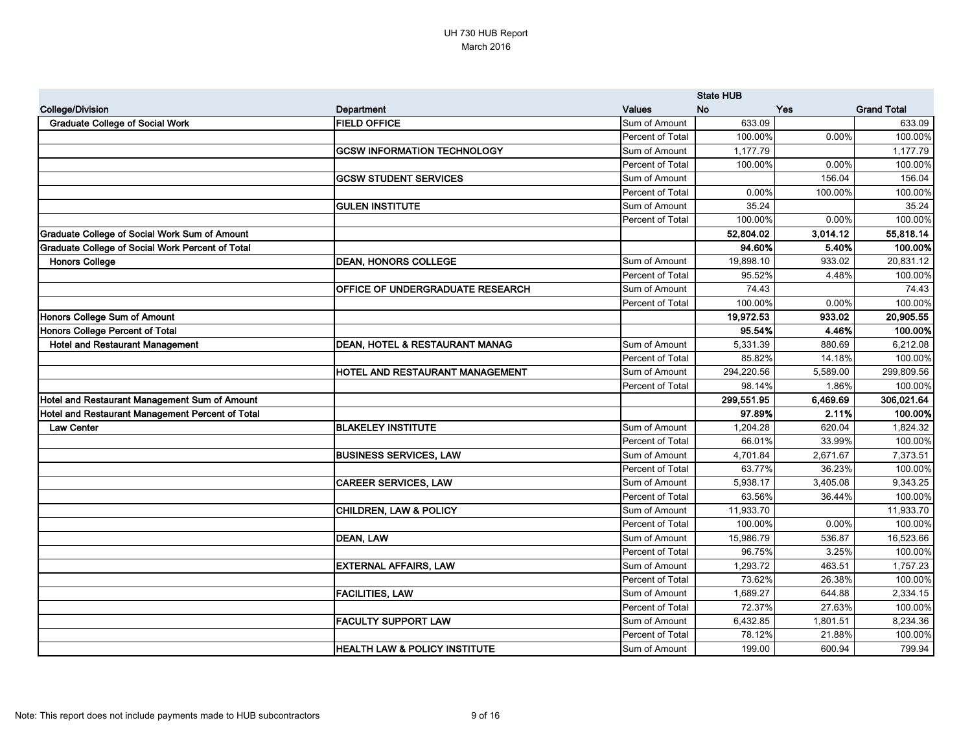|                                                         |                                          |                  | <b>State HUB</b> |          |                    |
|---------------------------------------------------------|------------------------------------------|------------------|------------------|----------|--------------------|
| <b>College/Division</b>                                 | Department                               | <b>Values</b>    | <b>No</b>        | Yes      | <b>Grand Total</b> |
| <b>Graduate College of Social Work</b>                  | <b>FIELD OFFICE</b>                      | Sum of Amount    | 633.09           |          | 633.09             |
|                                                         |                                          | Percent of Total | 100.00%          | 0.00%    | 100.00%            |
|                                                         | <b>GCSW INFORMATION TECHNOLOGY</b>       | Sum of Amount    | 1,177.79         |          | 1,177.79           |
|                                                         |                                          | Percent of Total | 100.00%          | 0.00%    | 100.00%            |
|                                                         | <b>GCSW STUDENT SERVICES</b>             | Sum of Amount    |                  | 156.04   | 156.04             |
|                                                         |                                          | Percent of Total | 0.00%            | 100.00%  | 100.00%            |
|                                                         | <b>GULEN INSTITUTE</b>                   | Sum of Amount    | 35.24            |          | 35.24              |
|                                                         |                                          | Percent of Total | 100.00%          | 0.00%    | 100.00%            |
| <b>Graduate College of Social Work Sum of Amount</b>    |                                          |                  | 52,804.02        | 3,014.12 | 55,818.14          |
| <b>Graduate College of Social Work Percent of Total</b> |                                          |                  | 94.60%           | 5.40%    | 100.00%            |
| <b>Honors College</b>                                   | <b>DEAN, HONORS COLLEGE</b>              | Sum of Amount    | 19,898.10        | 933.02   | 20,831.12          |
|                                                         |                                          | Percent of Total | 95.52%           | 4.48%    | 100.00%            |
|                                                         | OFFICE OF UNDERGRADUATE RESEARCH         | Sum of Amount    | 74.43            |          | 74.43              |
|                                                         |                                          | Percent of Total | 100.00%          | 0.00%    | 100.00%            |
| Honors College Sum of Amount                            |                                          |                  | 19,972.53        | 933.02   | 20,905.55          |
| Honors College Percent of Total                         |                                          |                  | 95.54%           | 4.46%    | 100.00%            |
| <b>Hotel and Restaurant Management</b>                  | DEAN, HOTEL & RESTAURANT MANAG           | Sum of Amount    | 5,331.39         | 880.69   | 6,212.08           |
|                                                         |                                          | Percent of Total | 85.82%           | 14.18%   | 100.00%            |
|                                                         | HOTEL AND RESTAURANT MANAGEMENT          | Sum of Amount    | 294,220.56       | 5,589.00 | 299,809.56         |
|                                                         |                                          | Percent of Total | 98.14%           | 1.86%    | 100.00%            |
| Hotel and Restaurant Management Sum of Amount           |                                          |                  | 299,551.95       | 6,469.69 | 306,021.64         |
| Hotel and Restaurant Management Percent of Total        |                                          |                  | 97.89%           | 2.11%    | 100.00%            |
| <b>Law Center</b>                                       | <b>BLAKELEY INSTITUTE</b>                | Sum of Amount    | 1,204.28         | 620.04   | 1,824.32           |
|                                                         |                                          | Percent of Total | 66.01%           | 33.99%   | 100.00%            |
|                                                         | <b>BUSINESS SERVICES, LAW</b>            | Sum of Amount    | 4,701.84         | 2,671.67 | 7,373.51           |
|                                                         |                                          | Percent of Total | 63.77%           | 36.23%   | 100.00%            |
|                                                         | <b>CAREER SERVICES, LAW</b>              | Sum of Amount    | 5,938.17         | 3,405.08 | 9,343.25           |
|                                                         |                                          | Percent of Total | 63.56%           | 36.44%   | 100.00%            |
|                                                         | <b>CHILDREN, LAW &amp; POLICY</b>        | Sum of Amount    | 11,933.70        |          | 11,933.70          |
|                                                         |                                          | Percent of Total | 100.00%          | 0.00%    | 100.00%            |
|                                                         | <b>DEAN, LAW</b>                         | Sum of Amount    | 15,986.79        | 536.87   | 16,523.66          |
|                                                         |                                          | Percent of Total | 96.75%           | 3.25%    | 100.00%            |
|                                                         | <b>EXTERNAL AFFAIRS, LAW</b>             | Sum of Amount    | 1,293.72         | 463.51   | 1,757.23           |
|                                                         |                                          | Percent of Total | 73.62%           | 26.38%   | 100.00%            |
|                                                         | <b>FACILITIES, LAW</b>                   | Sum of Amount    | 1,689.27         | 644.88   | 2,334.15           |
|                                                         |                                          | Percent of Total | 72.37%           | 27.63%   | 100.00%            |
|                                                         | <b>FACULTY SUPPORT LAW</b>               | Sum of Amount    | 6,432.85         | 1,801.51 | 8,234.36           |
|                                                         |                                          | Percent of Total | 78.12%           | 21.88%   | 100.00%            |
|                                                         | <b>HEALTH LAW &amp; POLICY INSTITUTE</b> | Sum of Amount    | 199.00           | 600.94   | 799.94             |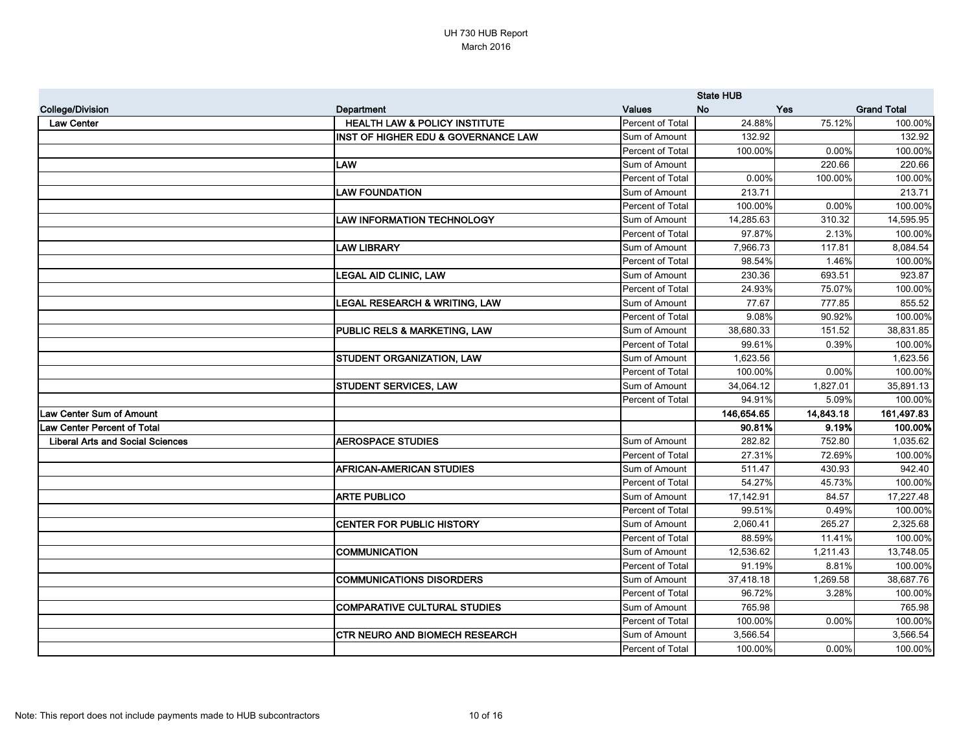|                                         |                                                |                  | <b>State HUB</b> |           |                    |
|-----------------------------------------|------------------------------------------------|------------------|------------------|-----------|--------------------|
| <b>College/Division</b>                 | Department                                     | <b>Values</b>    | <b>No</b>        | Yes       | <b>Grand Total</b> |
| <b>Law Center</b>                       | <b>HEALTH LAW &amp; POLICY INSTITUTE</b>       | Percent of Total | 24.88%           | 75.12%    | 100.00%            |
|                                         | <b>INST OF HIGHER EDU &amp; GOVERNANCE LAW</b> | Sum of Amount    | 132.92           |           | 132.92             |
|                                         |                                                | Percent of Total | 100.00%          | 0.00%     | 100.00%            |
|                                         | <b>LAW</b>                                     | Sum of Amount    |                  | 220.66    | 220.66             |
|                                         |                                                | Percent of Total | 0.00%            | 100.00%   | 100.00%            |
|                                         | <b>LAW FOUNDATION</b>                          | Sum of Amount    | 213.71           |           | 213.71             |
|                                         |                                                | Percent of Total | 100.00%          | $0.00\%$  | 100.00%            |
|                                         | <b>LAW INFORMATION TECHNOLOGY</b>              | Sum of Amount    | 14,285.63        | 310.32    | 14,595.95          |
|                                         |                                                | Percent of Total | 97.87%           | 2.13%     | 100.00%            |
|                                         | <b>LAW LIBRARY</b>                             | Sum of Amount    | 7,966.73         | 117.81    | 8,084.54           |
|                                         |                                                | Percent of Total | 98.54%           | 1.46%     | 100.00%            |
|                                         | <b>LEGAL AID CLINIC, LAW</b>                   | Sum of Amount    | 230.36           | 693.51    | 923.87             |
|                                         |                                                | Percent of Total | 24.93%           | 75.07%    | 100.00%            |
|                                         | LEGAL RESEARCH & WRITING, LAW                  | Sum of Amount    | 77.67            | 777.85    | 855.52             |
|                                         |                                                | Percent of Total | 9.08%            | 90.92%    | 100.00%            |
|                                         | PUBLIC RELS & MARKETING, LAW                   | Sum of Amount    | 38,680.33        | 151.52    | 38,831.85          |
|                                         |                                                | Percent of Total | 99.61%           | 0.39%     | 100.00%            |
|                                         | STUDENT ORGANIZATION, LAW                      | Sum of Amount    | 1,623.56         |           | 1,623.56           |
|                                         |                                                | Percent of Total | 100.00%          | 0.00%     | 100.00%            |
|                                         | <b>STUDENT SERVICES, LAW</b>                   | Sum of Amount    | 34,064.12        | 1,827.01  | 35,891.13          |
|                                         |                                                | Percent of Total | 94.91%           | 5.09%     | 100.00%            |
| <b>Law Center Sum of Amount</b>         |                                                |                  | 146,654.65       | 14,843.18 | 161,497.83         |
| <b>Law Center Percent of Total</b>      |                                                |                  | 90.81%           | 9.19%     | 100.00%            |
| <b>Liberal Arts and Social Sciences</b> | <b>AEROSPACE STUDIES</b>                       | Sum of Amount    | 282.82           | 752.80    | 1,035.62           |
|                                         |                                                | Percent of Total | 27.31%           | 72.69%    | 100.00%            |
|                                         | <b>AFRICAN-AMERICAN STUDIES</b>                | Sum of Amount    | 511.47           | 430.93    | 942.40             |
|                                         |                                                | Percent of Total | 54.27%           | 45.73%    | 100.00%            |
|                                         | <b>ARTE PUBLICO</b>                            | Sum of Amount    | 17,142.91        | 84.57     | 17,227.48          |
|                                         |                                                | Percent of Total | 99.51%           | 0.49%     | 100.00%            |
|                                         | <b>CENTER FOR PUBLIC HISTORY</b>               | Sum of Amount    | 2,060.41         | 265.27    | 2,325.68           |
|                                         |                                                | Percent of Total | 88.59%           | 11.41%    | 100.00%            |
|                                         | <b>COMMUNICATION</b>                           | Sum of Amount    | 12,536.62        | 1,211.43  | 13,748.05          |
|                                         |                                                | Percent of Total | 91.19%           | 8.81%     | 100.00%            |
|                                         | <b>COMMUNICATIONS DISORDERS</b>                | Sum of Amount    | 37,418.18        | 1,269.58  | 38,687.76          |
|                                         |                                                | Percent of Total | 96.72%           | 3.28%     | 100.00%            |
|                                         | <b>COMPARATIVE CULTURAL STUDIES</b>            | Sum of Amount    | 765.98           |           | 765.98             |
|                                         |                                                | Percent of Total | 100.00%          | $0.00\%$  | 100.00%            |
|                                         | <b>CTR NEURO AND BIOMECH RESEARCH</b>          | Sum of Amount    | 3,566.54         |           | 3,566.54           |
|                                         |                                                | Percent of Total | 100.00%          | $0.00\%$  | 100.00%            |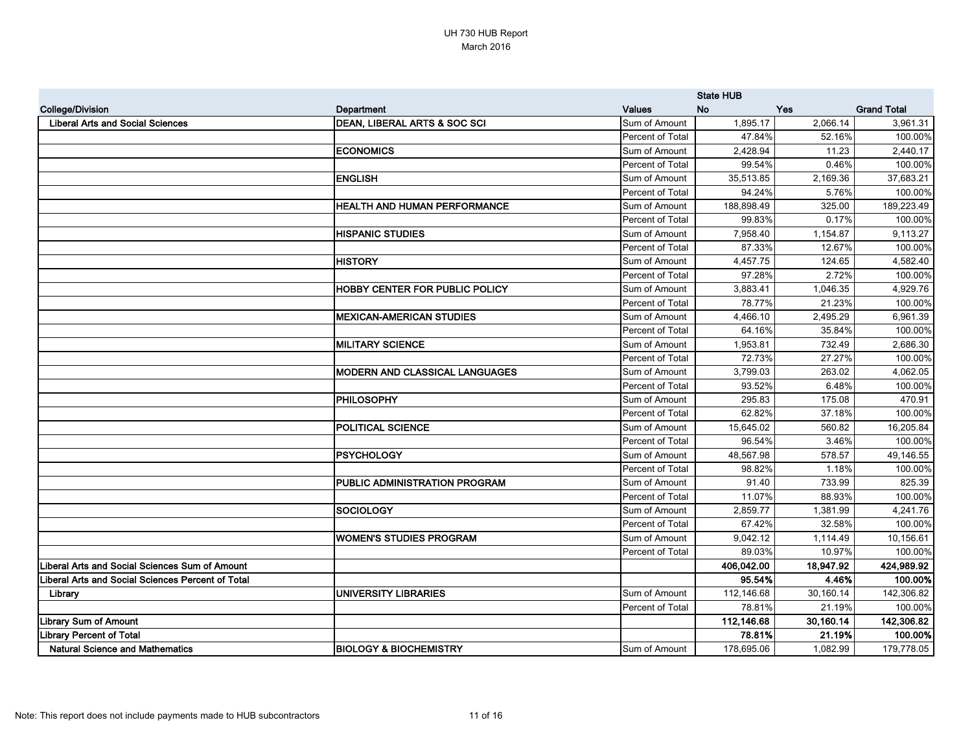|                                                   |                                       |                  | <b>State HUB</b> |           |                    |
|---------------------------------------------------|---------------------------------------|------------------|------------------|-----------|--------------------|
| <b>College/Division</b>                           | Department                            | <b>Values</b>    | <b>No</b>        | Yes       | <b>Grand Total</b> |
| <b>Liberal Arts and Social Sciences</b>           | DEAN, LIBERAL ARTS & SOC SCI          | Sum of Amount    | 1,895.17         | 2,066.14  | 3,961.31           |
|                                                   |                                       | Percent of Total | 47.84%           | 52.16%    | 100.00%            |
|                                                   | <b>ECONOMICS</b>                      | Sum of Amount    | 2,428.94         | 11.23     | 2,440.17           |
|                                                   |                                       | Percent of Total | 99.54%           | 0.46%     | 100.00%            |
|                                                   | <b>ENGLISH</b>                        | Sum of Amount    | 35,513.85        | 2,169.36  | 37,683.21          |
|                                                   |                                       | Percent of Total | 94.24%           | 5.76%     | 100.00%            |
|                                                   | <b>HEALTH AND HUMAN PERFORMANCE</b>   | Sum of Amount    | 188,898.49       | 325.00    | 189,223.49         |
|                                                   |                                       | Percent of Total | 99.83%           | 0.17%     | 100.00%            |
|                                                   | <b>HISPANIC STUDIES</b>               | Sum of Amount    | 7,958.40         | 1,154.87  | 9,113.27           |
|                                                   |                                       | Percent of Total | 87.33%           | 12.67%    | 100.00%            |
|                                                   | <b>HISTORY</b>                        | Sum of Amount    | 4,457.75         | 124.65    | 4,582.40           |
|                                                   |                                       | Percent of Total | 97.28%           | 2.72%     | 100.00%            |
|                                                   | <b>HOBBY CENTER FOR PUBLIC POLICY</b> | Sum of Amount    | 3,883.41         | 1,046.35  | 4,929.76           |
|                                                   |                                       | Percent of Total | 78.77%           | 21.23%    | 100.00%            |
|                                                   | <b>MEXICAN-AMERICAN STUDIES</b>       | Sum of Amount    | 4,466.10         | 2,495.29  | 6,961.39           |
|                                                   |                                       | Percent of Total | 64.16%           | 35.84%    | 100.00%            |
|                                                   | <b>MILITARY SCIENCE</b>               | Sum of Amount    | 1,953.81         | 732.49    | 2,686.30           |
|                                                   |                                       | Percent of Total | 72.73%           | 27.27%    | 100.00%            |
|                                                   | <b>MODERN AND CLASSICAL LANGUAGES</b> | Sum of Amount    | 3,799.03         | 263.02    | 4,062.05           |
|                                                   |                                       | Percent of Total | 93.52%           | 6.48%     | 100.00%            |
|                                                   | <b>PHILOSOPHY</b>                     | Sum of Amount    | 295.83           | 175.08    | 470.91             |
|                                                   |                                       | Percent of Total | 62.82%           | 37.18%    | 100.00%            |
|                                                   | <b>POLITICAL SCIENCE</b>              | Sum of Amount    | 15,645.02        | 560.82    | 16,205.84          |
|                                                   |                                       | Percent of Total | 96.54%           | 3.46%     | 100.00%            |
|                                                   | <b>PSYCHOLOGY</b>                     | Sum of Amount    | 48,567.98        | 578.57    | 49,146.55          |
|                                                   |                                       | Percent of Total | 98.82%           | 1.18%     | 100.00%            |
|                                                   | PUBLIC ADMINISTRATION PROGRAM         | Sum of Amount    | 91.40            | 733.99    | 825.39             |
|                                                   |                                       | Percent of Total | 11.07%           | 88.93%    | 100.00%            |
|                                                   | <b>SOCIOLOGY</b>                      | Sum of Amount    | 2,859.77         | 1,381.99  | 4,241.76           |
|                                                   |                                       | Percent of Total | 67.42%           | 32.58%    | 100.00%            |
|                                                   | <b>WOMEN'S STUDIES PROGRAM</b>        | Sum of Amount    | 9,042.12         | 1,114.49  | 10,156.61          |
|                                                   |                                       | Percent of Total | 89.03%           | 10.97%    | 100.00%            |
| Liberal Arts and Social Sciences Sum of Amount    |                                       |                  | 406,042.00       | 18,947.92 | 424,989.92         |
| Liberal Arts and Social Sciences Percent of Total |                                       |                  | 95.54%           | 4.46%     | 100.00%            |
| Library                                           | UNIVERSITY LIBRARIES                  | Sum of Amount    | 112,146.68       | 30,160.14 | 142,306.82         |
|                                                   |                                       | Percent of Total | 78.81%           | 21.19%    | 100.00%            |
| <b>Library Sum of Amount</b>                      |                                       |                  | 112,146.68       | 30,160.14 | 142,306.82         |
| <b>Library Percent of Total</b>                   |                                       |                  | 78.81%           | 21.19%    | 100.00%            |
| <b>Natural Science and Mathematics</b>            | <b>BIOLOGY &amp; BIOCHEMISTRY</b>     | Sum of Amount    | 178,695.06       | 1,082.99  | 179,778.05         |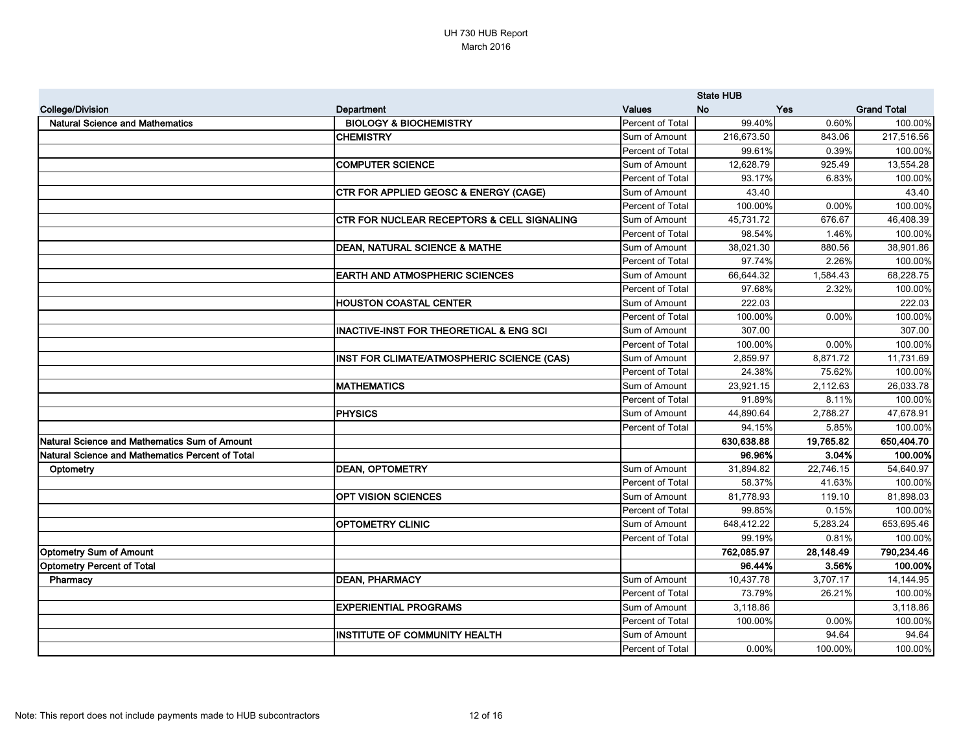|                                                         |                                                       |                  | <b>State HUB</b> |            |                    |
|---------------------------------------------------------|-------------------------------------------------------|------------------|------------------|------------|--------------------|
| <b>College/Division</b>                                 | <b>Department</b>                                     | <b>Values</b>    | <b>No</b>        | <b>Yes</b> | <b>Grand Total</b> |
| <b>Natural Science and Mathematics</b>                  | <b>BIOLOGY &amp; BIOCHEMISTRY</b>                     | Percent of Total | 99.40%           | 0.60%      | 100.00%            |
|                                                         | <b>CHEMISTRY</b>                                      | Sum of Amount    | 216,673.50       | 843.06     | 217,516.56         |
|                                                         |                                                       | Percent of Total | 99.61%           | 0.39%      | 100.00%            |
|                                                         | <b>COMPUTER SCIENCE</b>                               | Sum of Amount    | 12,628.79        | 925.49     | 13,554.28          |
|                                                         |                                                       | Percent of Total | 93.17%           | 6.83%      | 100.00%            |
|                                                         | <b>CTR FOR APPLIED GEOSC &amp; ENERGY (CAGE)</b>      | Sum of Amount    | 43.40            |            | 43.40              |
|                                                         |                                                       | Percent of Total | 100.00%          | 0.00%      | 100.00%            |
|                                                         | <b>CTR FOR NUCLEAR RECEPTORS &amp; CELL SIGNALING</b> | Sum of Amount    | 45,731.72        | 676.67     | 46,408.39          |
|                                                         |                                                       | Percent of Total | 98.54%           | 1.46%      | 100.00%            |
|                                                         | DEAN, NATURAL SCIENCE & MATHE                         | Sum of Amount    | 38,021.30        | 880.56     | 38,901.86          |
|                                                         |                                                       | Percent of Total | 97.74%           | 2.26%      | 100.00%            |
|                                                         | <b>EARTH AND ATMOSPHERIC SCIENCES</b>                 | Sum of Amount    | 66,644.32        | 1,584.43   | 68,228.75          |
|                                                         |                                                       | Percent of Total | 97.68%           | 2.32%      | 100.00%            |
|                                                         | <b>HOUSTON COASTAL CENTER</b>                         | Sum of Amount    | 222.03           |            | 222.03             |
|                                                         |                                                       | Percent of Total | 100.00%          | 0.00%      | 100.00%            |
|                                                         | <b>INACTIVE-INST FOR THEORETICAL &amp; ENG SCI</b>    | Sum of Amount    | 307.00           |            | 307.00             |
|                                                         |                                                       | Percent of Total | 100.00%          | 0.00%      | 100.00%            |
|                                                         | INST FOR CLIMATE/ATMOSPHERIC SCIENCE (CAS)            | Sum of Amount    | 2,859.97         | 8,871.72   | 11,731.69          |
|                                                         |                                                       | Percent of Total | 24.38%           | 75.62%     | 100.00%            |
|                                                         | <b>MATHEMATICS</b>                                    | Sum of Amount    | 23,921.15        | 2,112.63   | 26,033.78          |
|                                                         |                                                       | Percent of Total | 91.89%           | 8.11%      | 100.00%            |
|                                                         | <b>PHYSICS</b>                                        | Sum of Amount    | 44,890.64        | 2,788.27   | 47,678.91          |
|                                                         |                                                       | Percent of Total | 94.15%           | 5.85%      | 100.00%            |
| Natural Science and Mathematics Sum of Amount           |                                                       |                  | 630,638.88       | 19,765.82  | 650,404.70         |
| <b>Natural Science and Mathematics Percent of Total</b> |                                                       |                  | 96.96%           | 3.04%      | 100.00%            |
| Optometry                                               | <b>DEAN, OPTOMETRY</b>                                | Sum of Amount    | 31,894.82        | 22,746.15  | 54,640.97          |
|                                                         |                                                       | Percent of Total | 58.37%           | 41.63%     | 100.00%            |
|                                                         | <b>OPT VISION SCIENCES</b>                            | Sum of Amount    | 81,778.93        | 119.10     | 81,898.03          |
|                                                         |                                                       | Percent of Total | 99.85%           | 0.15%      | 100.00%            |
|                                                         | <b>OPTOMETRY CLINIC</b>                               | Sum of Amount    | 648,412.22       | 5,283.24   | 653,695.46         |
|                                                         |                                                       | Percent of Total | 99.19%           | 0.81%      | 100.00%            |
| <b>Optometry Sum of Amount</b>                          |                                                       |                  | 762,085.97       | 28,148.49  | 790,234.46         |
| <b>Optometry Percent of Total</b>                       |                                                       |                  | 96.44%           | 3.56%      | 100.00%            |
| Pharmacy                                                | <b>DEAN, PHARMACY</b>                                 | Sum of Amount    | 10,437.78        | 3,707.17   | 14,144.95          |
|                                                         |                                                       | Percent of Total | 73.79%           | 26.21%     | 100.00%            |
|                                                         | <b>EXPERIENTIAL PROGRAMS</b>                          | Sum of Amount    | 3,118.86         |            | 3,118.86           |
|                                                         |                                                       | Percent of Total | 100.00%          | 0.00%      | 100.00%            |
|                                                         | <b>INSTITUTE OF COMMUNITY HEALTH</b>                  | Sum of Amount    |                  | 94.64      | 94.64              |
|                                                         |                                                       | Percent of Total | 0.00%            | 100.00%    | 100.00%            |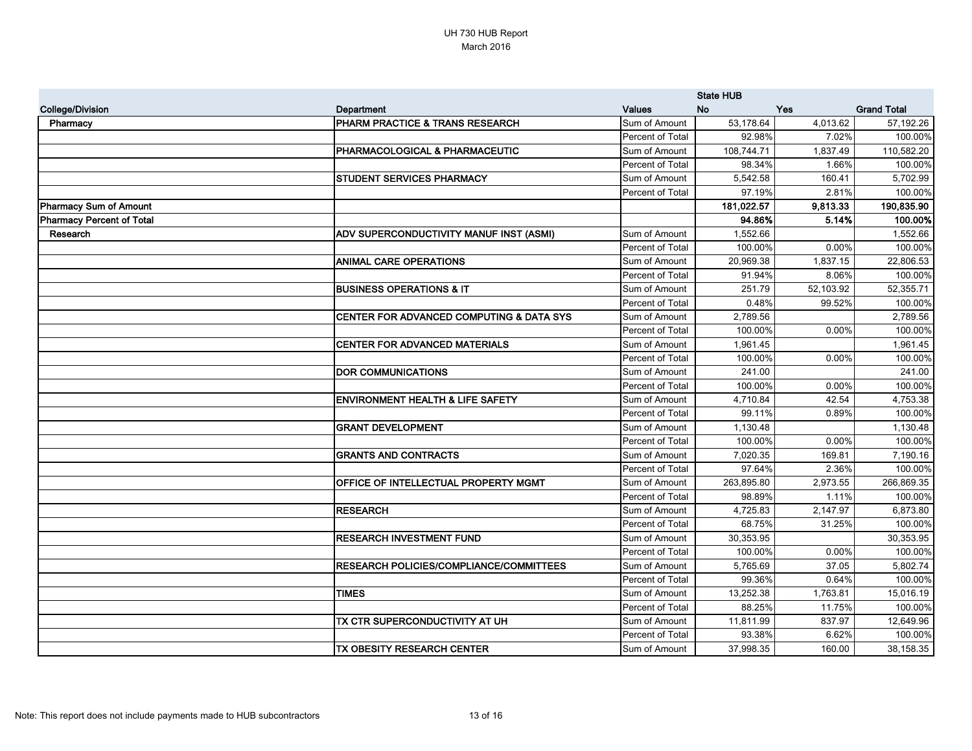|                                  |                                                |                  | <b>State HUB</b> |            |                    |
|----------------------------------|------------------------------------------------|------------------|------------------|------------|--------------------|
| <b>College/Division</b>          | <b>Department</b>                              | <b>Values</b>    | <b>No</b>        | <b>Yes</b> | <b>Grand Total</b> |
| Pharmacy                         | PHARM PRACTICE & TRANS RESEARCH                | Sum of Amount    | 53,178.64        | 4,013.62   | 57,192.26          |
|                                  |                                                | Percent of Total | 92.98%           | 7.02%      | 100.00%            |
|                                  | PHARMACOLOGICAL & PHARMACEUTIC                 | Sum of Amount    | 108,744.71       | 1,837.49   | 110,582.20         |
|                                  |                                                | Percent of Total | 98.34%           | 1.66%      | 100.00%            |
|                                  | <b>STUDENT SERVICES PHARMACY</b>               | Sum of Amount    | 5,542.58         | 160.41     | 5,702.99           |
|                                  |                                                | Percent of Total | 97.19%           | 2.81%      | 100.00%            |
| <b>Pharmacy Sum of Amount</b>    |                                                |                  | 181,022.57       | 9,813.33   | 190,835.90         |
| <b>Pharmacy Percent of Total</b> |                                                |                  | 94.86%           | 5.14%      | 100.00%            |
| Research                         | ADV SUPERCONDUCTIVITY MANUF INST (ASMI)        | Sum of Amount    | 1,552.66         |            | 1,552.66           |
|                                  |                                                | Percent of Total | 100.00%          | 0.00%      | 100.00%            |
|                                  | <b>ANIMAL CARE OPERATIONS</b>                  | Sum of Amount    | 20,969.38        | 1,837.15   | 22,806.53          |
|                                  |                                                | Percent of Total | 91.94%           | 8.06%      | 100.00%            |
|                                  | <b>BUSINESS OPERATIONS &amp; IT</b>            | Sum of Amount    | 251.79           | 52,103.92  | 52,355.71          |
|                                  |                                                | Percent of Total | 0.48%            | 99.52%     | 100.00%            |
|                                  | CENTER FOR ADVANCED COMPUTING & DATA SYS       | Sum of Amount    | 2,789.56         |            | 2,789.56           |
|                                  |                                                | Percent of Total | 100.00%          | 0.00%      | 100.00%            |
|                                  | <b>CENTER FOR ADVANCED MATERIALS</b>           | Sum of Amount    | 1,961.45         |            | 1,961.45           |
|                                  |                                                | Percent of Total | 100.00%          | 0.00%      | 100.00%            |
|                                  | <b>DOR COMMUNICATIONS</b>                      | Sum of Amount    | 241.00           |            | 241.00             |
|                                  |                                                | Percent of Total | 100.00%          | 0.00%      | 100.00%            |
|                                  | <b>ENVIRONMENT HEALTH &amp; LIFE SAFETY</b>    | Sum of Amount    | 4,710.84         | 42.54      | 4,753.38           |
|                                  |                                                | Percent of Total | 99.11%           | 0.89%      | 100.00%            |
|                                  | <b>GRANT DEVELOPMENT</b>                       | Sum of Amount    | 1,130.48         |            | 1,130.48           |
|                                  |                                                | Percent of Total | 100.00%          | 0.00%      | 100.00%            |
|                                  | <b>GRANTS AND CONTRACTS</b>                    | Sum of Amount    | 7,020.35         | 169.81     | 7,190.16           |
|                                  |                                                | Percent of Total | 97.64%           | 2.36%      | 100.00%            |
|                                  | OFFICE OF INTELLECTUAL PROPERTY MGMT           | Sum of Amount    | 263,895.80       | 2,973.55   | 266,869.35         |
|                                  |                                                | Percent of Total | 98.89%           | 1.11%      | 100.00%            |
|                                  | <b>RESEARCH</b>                                | Sum of Amount    | 4,725.83         | 2,147.97   | 6,873.80           |
|                                  |                                                | Percent of Total | 68.75%           | 31.25%     | 100.00%            |
|                                  | <b>RESEARCH INVESTMENT FUND</b>                | Sum of Amount    | 30,353.95        |            | 30,353.95          |
|                                  |                                                | Percent of Total | 100.00%          | 0.00%      | 100.00%            |
|                                  | <b>RESEARCH POLICIES/COMPLIANCE/COMMITTEES</b> | Sum of Amount    | 5,765.69         | 37.05      | 5,802.74           |
|                                  |                                                | Percent of Total | 99.36%           | 0.64%      | 100.00%            |
|                                  | <b>TIMES</b>                                   | Sum of Amount    | 13,252.38        | 1,763.81   | 15,016.19          |
|                                  |                                                | Percent of Total | 88.25%           | 11.75%     | 100.00%            |
|                                  | TX CTR SUPERCONDUCTIVITY AT UH                 | Sum of Amount    | 11,811.99        | 837.97     | 12,649.96          |
|                                  |                                                | Percent of Total | 93.38%           | 6.62%      | 100.00%            |
|                                  | <b>TX OBESITY RESEARCH CENTER</b>              | Sum of Amount    | 37,998.35        | 160.00     | 38,158.35          |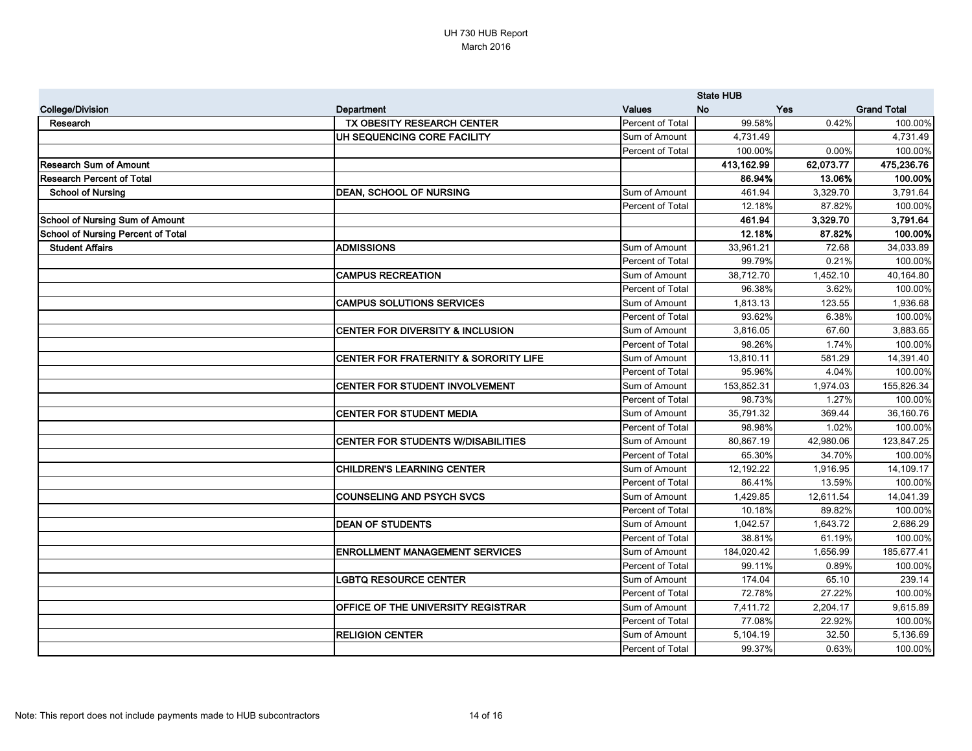|                                           |                                       |                  | <b>State HUB</b> |            |                    |
|-------------------------------------------|---------------------------------------|------------------|------------------|------------|--------------------|
| <b>College/Division</b>                   | <b>Department</b>                     | <b>Values</b>    | <b>No</b>        | <b>Yes</b> | <b>Grand Total</b> |
| Research                                  | <b>TX OBESITY RESEARCH CENTER</b>     | Percent of Total | 99.58%           | 0.42%      | 100.00%            |
|                                           | UH SEQUENCING CORE FACILITY           | Sum of Amount    | 4,731.49         |            | 4,731.49           |
|                                           |                                       | Percent of Total | 100.00%          | 0.00%      | 100.00%            |
| <b>Research Sum of Amount</b>             |                                       |                  | 413,162.99       | 62,073.77  | 475,236.76         |
| <b>Research Percent of Total</b>          |                                       |                  | 86.94%           | 13.06%     | 100.00%            |
| <b>School of Nursing</b>                  | <b>DEAN, SCHOOL OF NURSING</b>        | Sum of Amount    | 461.94           | 3,329.70   | 3,791.64           |
|                                           |                                       | Percent of Total | 12.18%           | 87.82%     | 100.00%            |
| <b>School of Nursing Sum of Amount</b>    |                                       |                  | 461.94           | 3,329.70   | 3,791.64           |
| <b>School of Nursing Percent of Total</b> |                                       |                  | 12.18%           | 87.82%     | 100.00%            |
| <b>Student Affairs</b>                    | <b>ADMISSIONS</b>                     | Sum of Amount    | 33,961.21        | 72.68      | 34,033.89          |
|                                           |                                       | Percent of Total | 99.79%           | 0.21%      | 100.00%            |
|                                           | <b>CAMPUS RECREATION</b>              | Sum of Amount    | 38,712.70        | 1,452.10   | 40,164.80          |
|                                           |                                       | Percent of Total | 96.38%           | 3.62%      | 100.00%            |
|                                           | <b>CAMPUS SOLUTIONS SERVICES</b>      | Sum of Amount    | 1,813.13         | 123.55     | 1,936.68           |
|                                           |                                       | Percent of Total | 93.62%           | 6.38%      | 100.00%            |
|                                           | CENTER FOR DIVERSITY & INCLUSION      | Sum of Amount    | 3,816.05         | 67.60      | 3,883.65           |
|                                           |                                       | Percent of Total | 98.26%           | 1.74%      | 100.00%            |
|                                           | CENTER FOR FRATERNITY & SORORITY LIFE | Sum of Amount    | 13,810.11        | 581.29     | 14,391.40          |
|                                           |                                       | Percent of Total | 95.96%           | 4.04%      | 100.00%            |
|                                           | CENTER FOR STUDENT INVOLVEMENT        | Sum of Amount    | 153,852.31       | 1,974.03   | 155,826.34         |
|                                           |                                       | Percent of Total | 98.73%           | 1.27%      | 100.00%            |
|                                           | <b>CENTER FOR STUDENT MEDIA</b>       | Sum of Amount    | 35,791.32        | 369.44     | 36,160.76          |
|                                           |                                       | Percent of Total | 98.98%           | 1.02%      | 100.00%            |
|                                           | CENTER FOR STUDENTS W/DISABILITIES    | Sum of Amount    | 80,867.19        | 42,980.06  | 123,847.25         |
|                                           |                                       | Percent of Total | 65.30%           | 34.70%     | 100.00%            |
|                                           | <b>CHILDREN'S LEARNING CENTER</b>     | Sum of Amount    | 12,192.22        | 1,916.95   | 14,109.17          |
|                                           |                                       | Percent of Total | 86.41%           | 13.59%     | 100.00%            |
|                                           | <b>COUNSELING AND PSYCH SVCS</b>      | Sum of Amount    | 1,429.85         | 12,611.54  | 14,041.39          |
|                                           |                                       | Percent of Total | 10.18%           | 89.82%     | 100.00%            |
|                                           | <b>DEAN OF STUDENTS</b>               | Sum of Amount    | 1,042.57         | 1,643.72   | 2,686.29           |
|                                           |                                       | Percent of Total | 38.81%           | 61.19%     | 100.00%            |
|                                           | <b>ENROLLMENT MANAGEMENT SERVICES</b> | Sum of Amount    | 184,020.42       | 1,656.99   | 185,677.41         |
|                                           |                                       | Percent of Total | 99.11%           | 0.89%      | 100.00%            |
|                                           | <b>LGBTQ RESOURCE CENTER</b>          | Sum of Amount    | 174.04           | 65.10      | 239.14             |
|                                           |                                       | Percent of Total | 72.78%           | 27.22%     | 100.00%            |
|                                           | OFFICE OF THE UNIVERSITY REGISTRAR    | Sum of Amount    | 7,411.72         | 2,204.17   | 9,615.89           |
|                                           |                                       | Percent of Total | 77.08%           | 22.92%     | 100.00%            |
|                                           | <b>RELIGION CENTER</b>                | Sum of Amount    | 5,104.19         | 32.50      | 5,136.69           |
|                                           |                                       | Percent of Total | 99.37%           | 0.63%      | 100.00%            |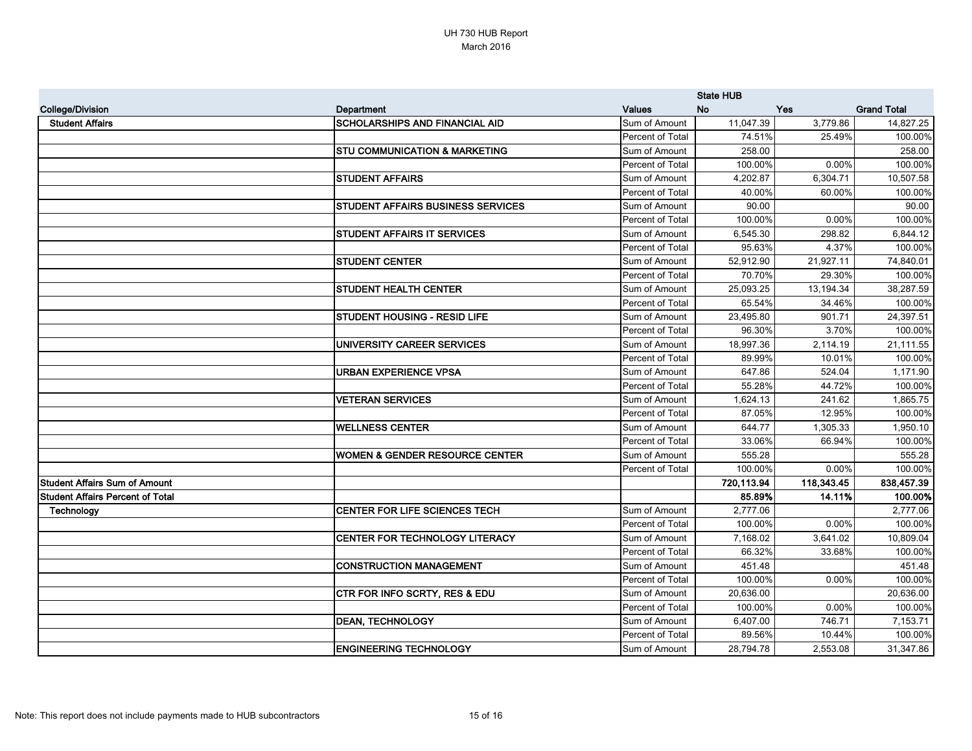|                                         |                                           |                  | <b>State HUB</b> |            |                    |
|-----------------------------------------|-------------------------------------------|------------------|------------------|------------|--------------------|
| <b>College/Division</b>                 | Department                                | <b>Values</b>    | No               | Yes        | <b>Grand Total</b> |
| <b>Student Affairs</b>                  | <b>SCHOLARSHIPS AND FINANCIAL AID</b>     | Sum of Amount    | 11,047.39        | 3,779.86   | 14,827.25          |
|                                         |                                           | Percent of Total | 74.51%           | 25.49%     | 100.00%            |
|                                         | <b>STU COMMUNICATION &amp; MARKETING</b>  | Sum of Amount    | 258.00           |            | 258.00             |
|                                         |                                           | Percent of Total | 100.00%          | 0.00%      | 100.00%            |
|                                         | <b>STUDENT AFFAIRS</b>                    | Sum of Amount    | 4,202.87         | 6,304.71   | 10,507.58          |
|                                         |                                           | Percent of Total | 40.00%           | 60.00%     | 100.00%            |
|                                         | <b>STUDENT AFFAIRS BUSINESS SERVICES</b>  | Sum of Amount    | 90.00            |            | 90.00              |
|                                         |                                           | Percent of Total | 100.00%          | 0.00%      | 100.00%            |
|                                         | <b>STUDENT AFFAIRS IT SERVICES</b>        | Sum of Amount    | 6,545.30         | 298.82     | 6,844.12           |
|                                         |                                           | Percent of Total | 95.63%           | 4.37%      | 100.00%            |
|                                         | <b>STUDENT CENTER</b>                     | Sum of Amount    | 52,912.90        | 21,927.11  | 74,840.01          |
|                                         |                                           | Percent of Total | 70.70%           | 29.30%     | 100.00%            |
|                                         | <b>STUDENT HEALTH CENTER</b>              | Sum of Amount    | 25,093.25        | 13,194.34  | 38,287.59          |
|                                         |                                           | Percent of Total | 65.54%           | 34.46%     | 100.00%            |
|                                         | <b>STUDENT HOUSING - RESID LIFE</b>       | Sum of Amount    | 23,495.80        | 901.71     | 24,397.51          |
|                                         |                                           | Percent of Total | 96.30%           | 3.70%      | 100.00%            |
|                                         | UNIVERSITY CAREER SERVICES                | Sum of Amount    | 18,997.36        | 2,114.19   | 21,111.55          |
|                                         |                                           | Percent of Total | 89.99%           | 10.01%     | 100.00%            |
|                                         | URBAN EXPERIENCE VPSA                     | Sum of Amount    | 647.86           | 524.04     | 1,171.90           |
|                                         |                                           | Percent of Total | 55.28%           | 44.72%     | 100.00%            |
|                                         | <b>VETERAN SERVICES</b>                   | Sum of Amount    | 1,624.13         | 241.62     | 1,865.75           |
|                                         |                                           | Percent of Total | 87.05%           | 12.95%     | 100.00%            |
|                                         | <b>WELLNESS CENTER</b>                    | Sum of Amount    | 644.77           | 1,305.33   | 1,950.10           |
|                                         |                                           | Percent of Total | 33.06%           | 66.94%     | 100.00%            |
|                                         | <b>WOMEN &amp; GENDER RESOURCE CENTER</b> | Sum of Amount    | 555.28           |            | 555.28             |
|                                         |                                           | Percent of Total | 100.00%          | 0.00%      | 100.00%            |
| <b>Student Affairs Sum of Amount</b>    |                                           |                  | 720,113.94       | 118,343.45 | 838,457.39         |
| <b>Student Affairs Percent of Total</b> |                                           |                  | 85.89%           | 14.11%     | 100.00%            |
| Technology                              | <b>CENTER FOR LIFE SCIENCES TECH</b>      | Sum of Amount    | 2,777.06         |            | 2,777.06           |
|                                         |                                           | Percent of Total | 100.00%          | $0.00\%$   | 100.00%            |
|                                         | CENTER FOR TECHNOLOGY LITERACY            | Sum of Amount    | 7,168.02         | 3,641.02   | 10,809.04          |
|                                         |                                           | Percent of Total | 66.32%           | 33.68%     | 100.00%            |
|                                         | <b>CONSTRUCTION MANAGEMENT</b>            | Sum of Amount    | 451.48           |            | 451.48             |
|                                         |                                           | Percent of Total | 100.00%          | $0.00\%$   | 100.00%            |
|                                         | <b>CTR FOR INFO SCRTY, RES &amp; EDU</b>  | Sum of Amount    | 20,636.00        |            | 20,636.00          |
|                                         |                                           | Percent of Total | 100.00%          | $0.00\%$   | 100.00%            |
|                                         | <b>DEAN, TECHNOLOGY</b>                   | Sum of Amount    | 6,407.00         | 746.71     | 7,153.71           |
|                                         |                                           | Percent of Total | 89.56%           | 10.44%     | 100.00%            |
|                                         | <b>ENGINEERING TECHNOLOGY</b>             | Sum of Amount    | 28,794.78        | 2,553.08   | 31,347.86          |